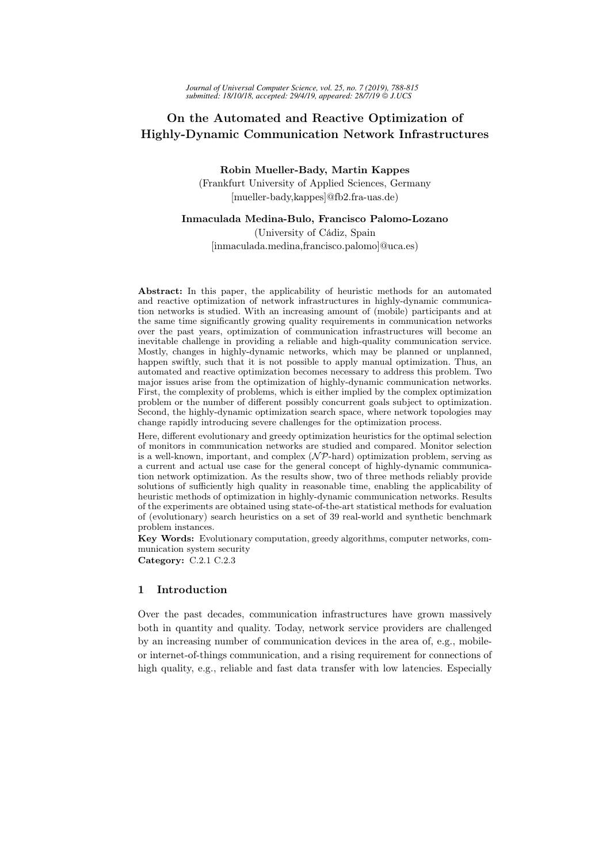# On the Automated and Reactive Optimization of Highly-Dynamic Communication Network Infrastructures

Robin Mueller-Bady, Martin Kappes (Frankfurt University of Applied Sciences, Germany [mueller-bady,kappes]@fb2.fra-uas.de)

### Inmaculada Medina-Bulo, Francisco Palomo-Lozano

(University of Cádiz, Spain [inmaculada.medina,francisco.palomo]@uca.es)

Abstract: In this paper, the applicability of heuristic methods for an automated and reactive optimization of network infrastructures in highly-dynamic communication networks is studied. With an increasing amount of (mobile) participants and at the same time significantly growing quality requirements in communication networks over the past years, optimization of communication infrastructures will become an inevitable challenge in providing a reliable and high-quality communication service. Mostly, changes in highly-dynamic networks, which may be planned or unplanned, happen swiftly, such that it is not possible to apply manual optimization. Thus, an automated and reactive optimization becomes necessary to address this problem. Two major issues arise from the optimization of highly-dynamic communication networks. First, the complexity of problems, which is either implied by the complex optimization problem or the number of different possibly concurrent goals subject to optimization. Second, the highly-dynamic optimization search space, where network topologies may change rapidly introducing severe challenges for the optimization process.

Here, different evolutionary and greedy optimization heuristics for the optimal selection of monitors in communication networks are studied and compared. Monitor selection is a well-known, important, and complex  $(\mathcal{NP}$ -hard) optimization problem, serving as a current and actual use case for the general concept of highly-dynamic communication network optimization. As the results show, two of three methods reliably provide solutions of sufficiently high quality in reasonable time, enabling the applicability of heuristic methods of optimization in highly-dynamic communication networks. Results of the experiments are obtained using state-of-the-art statistical methods for evaluation of (evolutionary) search heuristics on a set of 39 real-world and synthetic benchmark problem instances.

Key Words: Evolutionary computation, greedy algorithms, computer networks, communication system security

Category: C.2.1 C.2.3

## 1 Introduction

Over the past decades, communication infrastructures have grown massively both in quantity and quality. Today, network service providers are challenged by an increasing number of communication devices in the area of, e.g., mobileor internet-of-things communication, and a rising requirement for connections of high quality, e.g., reliable and fast data transfer with low latencies. Especially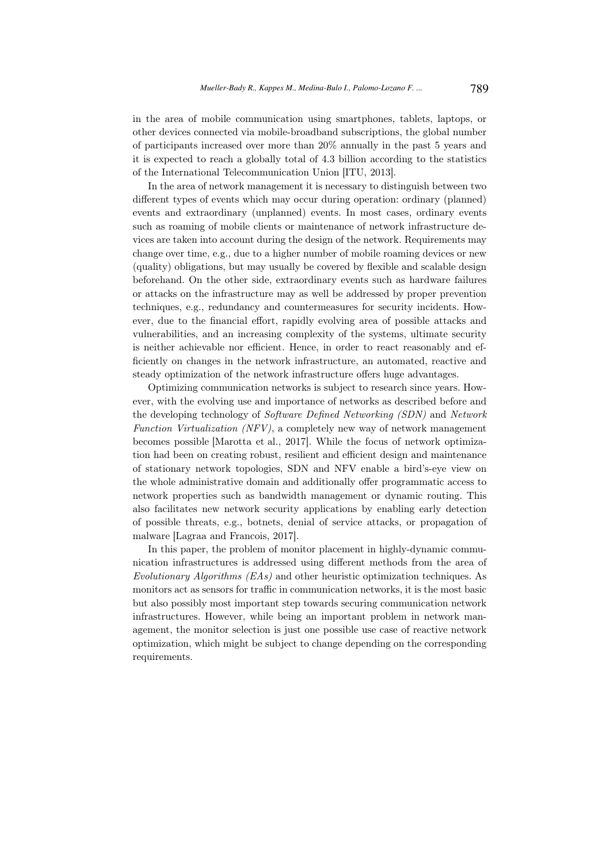in the area of mobile communication using smartphones, tablets, laptops, or other devices connected via mobile-broadband subscriptions, the global number of participants increased over more than 20% annually in the past 5 years and it is expected to reach a globally total of 4.3 billion according to the statistics of the International Telecommunication Union [ITU, 2013].

In the area of network management it is necessary to distinguish between two different types of events which may occur during operation: ordinary (planned) events and extraordinary (unplanned) events. In most cases, ordinary events such as roaming of mobile clients or maintenance of network infrastructure devices are taken into account during the design of the network. Requirements may change over time, e.g., due to a higher number of mobile roaming devices or new (quality) obligations, but may usually be covered by flexible and scalable design beforehand. On the other side, extraordinary events such as hardware failures or attacks on the infrastructure may as well be addressed by proper prevention techniques, e.g., redundancy and countermeasures for security incidents. However, due to the financial effort, rapidly evolving area of possible attacks and vulnerabilities, and an increasing complexity of the systems, ultimate security is neither achievable nor efficient. Hence, in order to react reasonably and efficiently on changes in the network infrastructure, an automated, reactive and steady optimization of the network infrastructure offers huge advantages.

Optimizing communication networks is subject to research since years. However, with the evolving use and importance of networks as described before and the developing technology of Software Defined Networking (SDN) and Network Function Virtualization (NFV), a completely new way of network management becomes possible [Marotta et al., 2017]. While the focus of network optimization had been on creating robust, resilient and efficient design and maintenance of stationary network topologies, SDN and NFV enable a bird's-eye view on the whole administrative domain and additionally offer programmatic access to network properties such as bandwidth management or dynamic routing. This also facilitates new network security applications by enabling early detection of possible threats, e.g., botnets, denial of service attacks, or propagation of malware [Lagraa and Francois, 2017].

In this paper, the problem of monitor placement in highly-dynamic communication infrastructures is addressed using different methods from the area of Evolutionary Algorithms (EAs) and other heuristic optimization techniques. As monitors act as sensors for traffic in communication networks, it is the most basic but also possibly most important step towards securing communication network infrastructures. However, while being an important problem in network management, the monitor selection is just one possible use case of reactive network optimization, which might be subject to change depending on the corresponding requirements.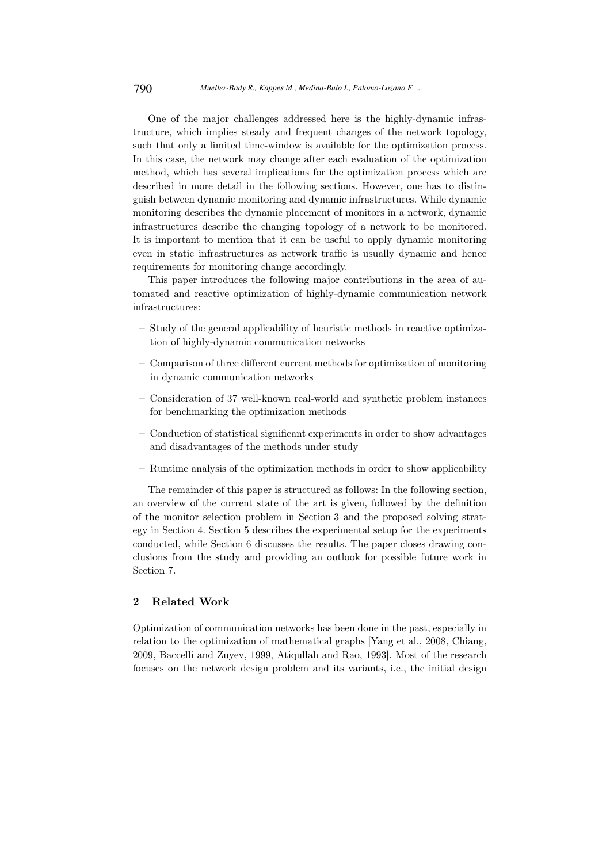One of the major challenges addressed here is the highly-dynamic infrastructure, which implies steady and frequent changes of the network topology, such that only a limited time-window is available for the optimization process. In this case, the network may change after each evaluation of the optimization method, which has several implications for the optimization process which are described in more detail in the following sections. However, one has to distinguish between dynamic monitoring and dynamic infrastructures. While dynamic monitoring describes the dynamic placement of monitors in a network, dynamic infrastructures describe the changing topology of a network to be monitored. It is important to mention that it can be useful to apply dynamic monitoring even in static infrastructures as network traffic is usually dynamic and hence requirements for monitoring change accordingly.

This paper introduces the following major contributions in the area of automated and reactive optimization of highly-dynamic communication network infrastructures:

- Study of the general applicability of heuristic methods in reactive optimization of highly-dynamic communication networks
- Comparison of three different current methods for optimization of monitoring in dynamic communication networks
- Consideration of 37 well-known real-world and synthetic problem instances for benchmarking the optimization methods
- Conduction of statistical significant experiments in order to show advantages and disadvantages of the methods under study
- Runtime analysis of the optimization methods in order to show applicability

The remainder of this paper is structured as follows: In the following section, an overview of the current state of the art is given, followed by the definition of the monitor selection problem in Section 3 and the proposed solving strategy in Section 4. Section 5 describes the experimental setup for the experiments conducted, while Section 6 discusses the results. The paper closes drawing conclusions from the study and providing an outlook for possible future work in Section 7.

# 2 Related Work

Optimization of communication networks has been done in the past, especially in relation to the optimization of mathematical graphs [Yang et al., 2008, Chiang, 2009, Baccelli and Zuyev, 1999, Atiqullah and Rao, 1993]. Most of the research focuses on the network design problem and its variants, i.e., the initial design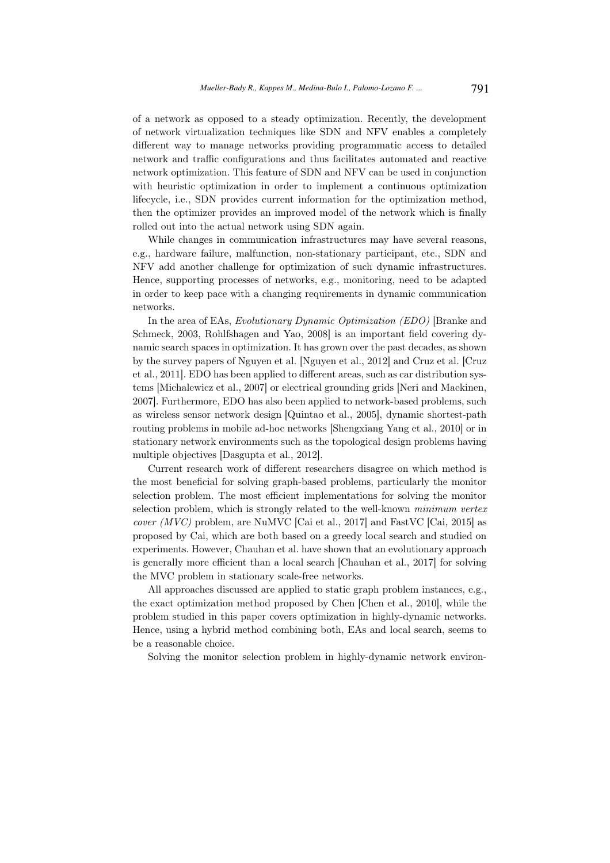of a network as opposed to a steady optimization. Recently, the development of network virtualization techniques like SDN and NFV enables a completely different way to manage networks providing programmatic access to detailed network and traffic configurations and thus facilitates automated and reactive network optimization. This feature of SDN and NFV can be used in conjunction with heuristic optimization in order to implement a continuous optimization lifecycle, i.e., SDN provides current information for the optimization method, then the optimizer provides an improved model of the network which is finally rolled out into the actual network using SDN again.

While changes in communication infrastructures may have several reasons, e.g., hardware failure, malfunction, non-stationary participant, etc., SDN and NFV add another challenge for optimization of such dynamic infrastructures. Hence, supporting processes of networks, e.g., monitoring, need to be adapted in order to keep pace with a changing requirements in dynamic communication networks.

In the area of EAs, Evolutionary Dynamic Optimization (EDO) [Branke and Schmeck, 2003, Rohlfshagen and Yao, 2008] is an important field covering dynamic search spaces in optimization. It has grown over the past decades, as shown by the survey papers of Nguyen et al. [Nguyen et al., 2012] and Cruz et al. [Cruz et al., 2011]. EDO has been applied to different areas, such as car distribution systems [Michalewicz et al., 2007] or electrical grounding grids [Neri and Maekinen, 2007]. Furthermore, EDO has also been applied to network-based problems, such as wireless sensor network design [Quintao et al., 2005], dynamic shortest-path routing problems in mobile ad-hoc networks [Shengxiang Yang et al., 2010] or in stationary network environments such as the topological design problems having multiple objectives [Dasgupta et al., 2012].

Current research work of different researchers disagree on which method is the most beneficial for solving graph-based problems, particularly the monitor selection problem. The most efficient implementations for solving the monitor selection problem, which is strongly related to the well-known minimum vertex *cover* ( $MVC$ ) problem, are NuMVC [Cai et al., 2017] and FastVC [Cai, 2015] as proposed by Cai, which are both based on a greedy local search and studied on experiments. However, Chauhan et al. have shown that an evolutionary approach is generally more efficient than a local search [Chauhan et al., 2017] for solving the MVC problem in stationary scale-free networks.

All approaches discussed are applied to static graph problem instances, e.g., the exact optimization method proposed by Chen [Chen et al., 2010], while the problem studied in this paper covers optimization in highly-dynamic networks. Hence, using a hybrid method combining both, EAs and local search, seems to be a reasonable choice.

Solving the monitor selection problem in highly-dynamic network environ-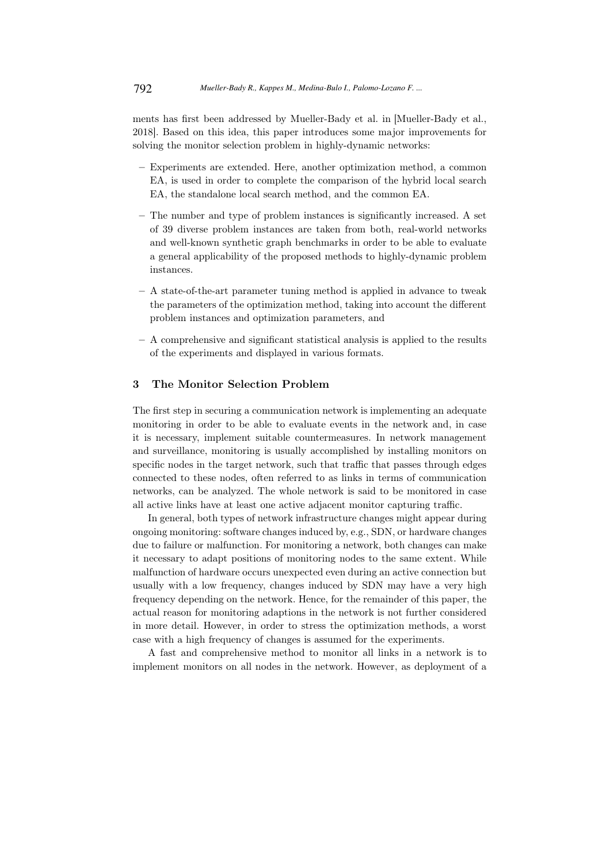ments has first been addressed by Mueller-Bady et al. in [Mueller-Bady et al., 2018]. Based on this idea, this paper introduces some major improvements for solving the monitor selection problem in highly-dynamic networks:

- Experiments are extended. Here, another optimization method, a common EA, is used in order to complete the comparison of the hybrid local search EA, the standalone local search method, and the common EA.
- The number and type of problem instances is significantly increased. A set of 39 diverse problem instances are taken from both, real-world networks and well-known synthetic graph benchmarks in order to be able to evaluate a general applicability of the proposed methods to highly-dynamic problem instances.
- A state-of-the-art parameter tuning method is applied in advance to tweak the parameters of the optimization method, taking into account the different problem instances and optimization parameters, and
- A comprehensive and significant statistical analysis is applied to the results of the experiments and displayed in various formats.

#### 3 The Monitor Selection Problem

The first step in securing a communication network is implementing an adequate monitoring in order to be able to evaluate events in the network and, in case it is necessary, implement suitable countermeasures. In network management and surveillance, monitoring is usually accomplished by installing monitors on specific nodes in the target network, such that traffic that passes through edges connected to these nodes, often referred to as links in terms of communication networks, can be analyzed. The whole network is said to be monitored in case all active links have at least one active adjacent monitor capturing traffic.

In general, both types of network infrastructure changes might appear during ongoing monitoring: software changes induced by, e.g., SDN, or hardware changes due to failure or malfunction. For monitoring a network, both changes can make it necessary to adapt positions of monitoring nodes to the same extent. While malfunction of hardware occurs unexpected even during an active connection but usually with a low frequency, changes induced by SDN may have a very high frequency depending on the network. Hence, for the remainder of this paper, the actual reason for monitoring adaptions in the network is not further considered in more detail. However, in order to stress the optimization methods, a worst case with a high frequency of changes is assumed for the experiments.

A fast and comprehensive method to monitor all links in a network is to implement monitors on all nodes in the network. However, as deployment of a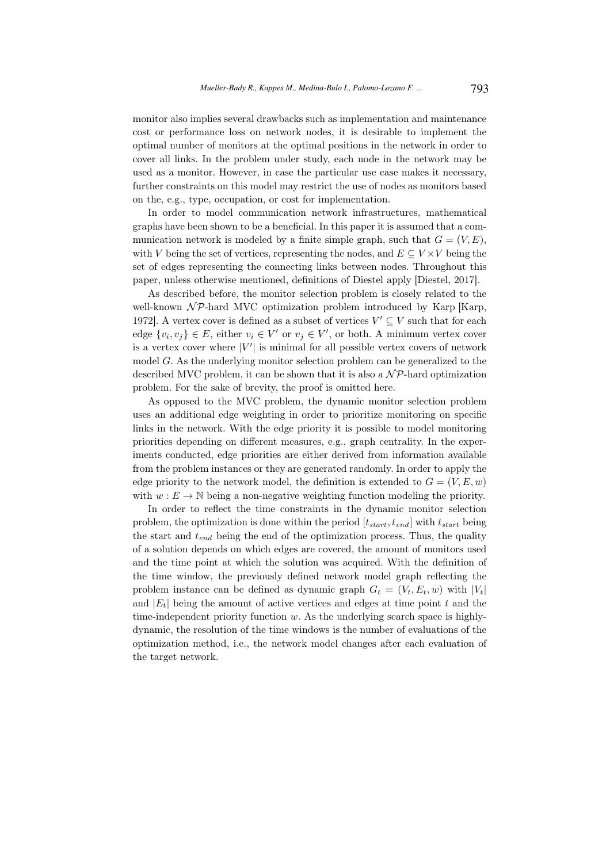monitor also implies several drawbacks such as implementation and maintenance cost or performance loss on network nodes, it is desirable to implement the optimal number of monitors at the optimal positions in the network in order to cover all links. In the problem under study, each node in the network may be used as a monitor. However, in case the particular use case makes it necessary, further constraints on this model may restrict the use of nodes as monitors based on the, e.g., type, occupation, or cost for implementation.

In order to model communication network infrastructures, mathematical graphs have been shown to be a beneficial. In this paper it is assumed that a communication network is modeled by a finite simple graph, such that  $G = (V, E)$ , with V being the set of vertices, representing the nodes, and  $E \subseteq V \times V$  being the set of edges representing the connecting links between nodes. Throughout this paper, unless otherwise mentioned, definitions of Diestel apply [Diestel, 2017].

As described before, the monitor selection problem is closely related to the well-known  $\mathcal{NP}$ -hard MVC optimization problem introduced by Karp [Karp, 1972]. A vertex cover is defined as a subset of vertices  $V' \subseteq V$  such that for each edge  $\{v_i, v_j\} \in E$ , either  $v_i \in V'$  or  $v_j \in V'$ , or both. A minimum vertex cover is a vertex cover where  $|V'|$  is minimal for all possible vertex covers of network model G. As the underlying monitor selection problem can be generalized to the described MVC problem, it can be shown that it is also a  $N\mathcal{P}$ -hard optimization problem. For the sake of brevity, the proof is omitted here.

As opposed to the MVC problem, the dynamic monitor selection problem uses an additional edge weighting in order to prioritize monitoring on specific links in the network. With the edge priority it is possible to model monitoring priorities depending on different measures, e.g., graph centrality. In the experiments conducted, edge priorities are either derived from information available from the problem instances or they are generated randomly. In order to apply the edge priority to the network model, the definition is extended to  $G = (V, E, w)$ with  $w : E \to \mathbb{N}$  being a non-negative weighting function modeling the priority.

In order to reflect the time constraints in the dynamic monitor selection problem, the optimization is done within the period  $[t_{start}, t_{end}]$  with  $t_{start}$  being the start and  $t_{end}$  being the end of the optimization process. Thus, the quality of a solution depends on which edges are covered, the amount of monitors used and the time point at which the solution was acquired. With the definition of the time window, the previously defined network model graph reflecting the problem instance can be defined as dynamic graph  $G_t = (V_t, E_t, w)$  with  $|V_t|$ and  $|E_t|$  being the amount of active vertices and edges at time point t and the time-independent priority function  $w$ . As the underlying search space is highlydynamic, the resolution of the time windows is the number of evaluations of the optimization method, i.e., the network model changes after each evaluation of the target network.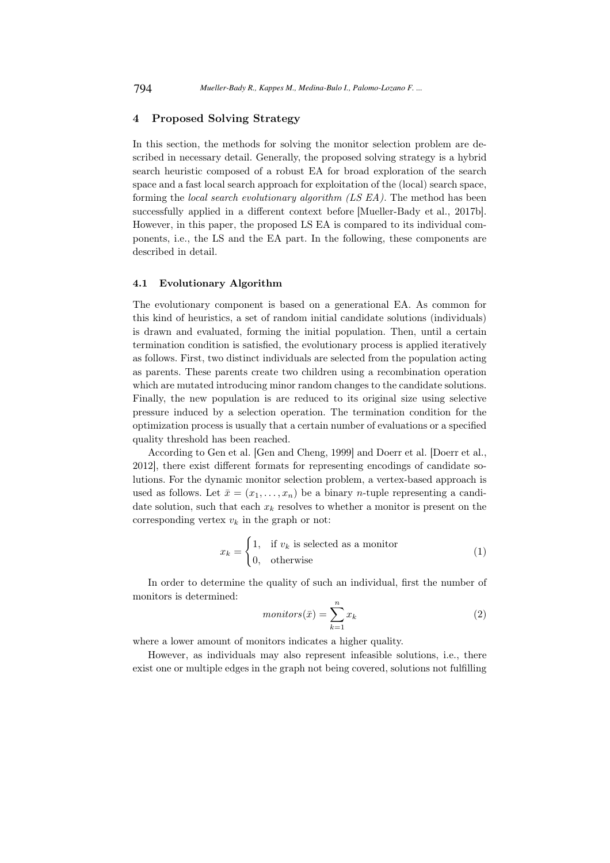### 4 Proposed Solving Strategy

In this section, the methods for solving the monitor selection problem are described in necessary detail. Generally, the proposed solving strategy is a hybrid search heuristic composed of a robust EA for broad exploration of the search space and a fast local search approach for exploitation of the (local) search space, forming the local search evolutionary algorithm (LS EA). The method has been successfully applied in a different context before [Mueller-Bady et al., 2017b]. However, in this paper, the proposed LS EA is compared to its individual components, i.e., the LS and the EA part. In the following, these components are described in detail.

#### 4.1 Evolutionary Algorithm

The evolutionary component is based on a generational EA. As common for this kind of heuristics, a set of random initial candidate solutions (individuals) is drawn and evaluated, forming the initial population. Then, until a certain termination condition is satisfied, the evolutionary process is applied iteratively as follows. First, two distinct individuals are selected from the population acting as parents. These parents create two children using a recombination operation which are mutated introducing minor random changes to the candidate solutions. Finally, the new population is are reduced to its original size using selective pressure induced by a selection operation. The termination condition for the optimization process is usually that a certain number of evaluations or a specified quality threshold has been reached.

According to Gen et al. [Gen and Cheng, 1999] and Doerr et al. [Doerr et al., 2012], there exist different formats for representing encodings of candidate solutions. For the dynamic monitor selection problem, a vertex-based approach is used as follows. Let  $\bar{x} = (x_1, \ldots, x_n)$  be a binary *n*-tuple representing a candidate solution, such that each  $x_k$  resolves to whether a monitor is present on the corresponding vertex  $v_k$  in the graph or not:

$$
x_k = \begin{cases} 1, & \text{if } v_k \text{ is selected as a monitor} \\ 0, & \text{otherwise} \end{cases} \tag{1}
$$

In order to determine the quality of such an individual, first the number of monitors is determined:

$$
monitors(\bar{x}) = \sum_{k=1}^{n} x_k
$$
\n(2)

where a lower amount of monitors indicates a higher quality.

However, as individuals may also represent infeasible solutions, i.e., there exist one or multiple edges in the graph not being covered, solutions not fulfilling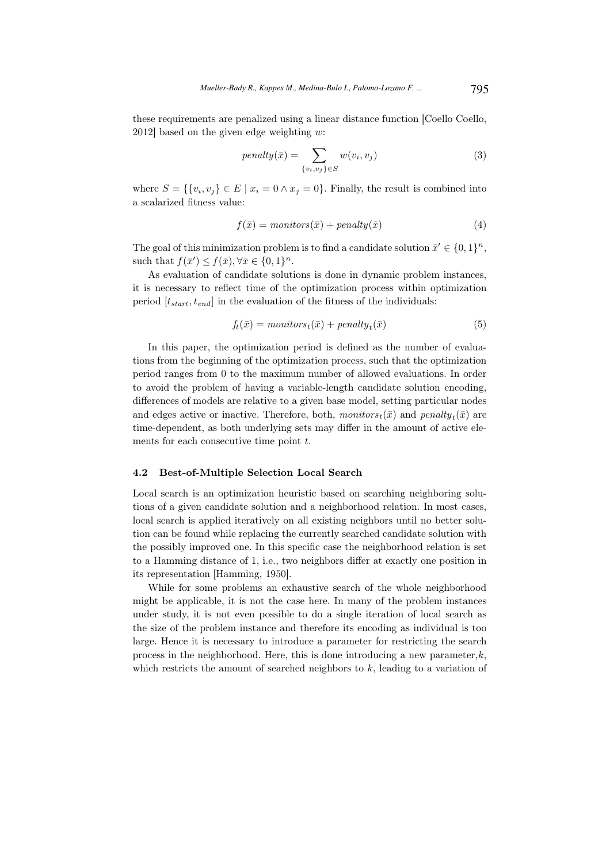these requirements are penalized using a linear distance function [Coello Coello, 2012] based on the given edge weighting  $w$ :

$$
penalty(\bar{x}) = \sum_{\{v_i, v_j\} \in S} w(v_i, v_j)
$$
\n(3)

where  $S = \{ \{v_i, v_j\} \in E \mid x_i = 0 \land x_j = 0 \}$ . Finally, the result is combined into a scalarized fitness value:

$$
f(\bar{x}) = \text{monitors}(\bar{x}) + \text{penalty}(\bar{x}) \tag{4}
$$

The goal of this minimization problem is to find a candidate solution  $\bar{x}' \in \{0,1\}^n$ , such that  $f(\bar{x}') \leq f(\bar{x}), \forall \bar{x} \in \{0,1\}^n$ .

As evaluation of candidate solutions is done in dynamic problem instances, it is necessary to reflect time of the optimization process within optimization period  $[t<sub>start</sub>, t<sub>end</sub>]$  in the evaluation of the fitness of the individuals:

$$
f_t(\bar{x}) = \text{monitors}_t(\bar{x}) + \text{penalty}_t(\bar{x}) \tag{5}
$$

In this paper, the optimization period is defined as the number of evaluations from the beginning of the optimization process, such that the optimization period ranges from 0 to the maximum number of allowed evaluations. In order to avoid the problem of having a variable-length candidate solution encoding, differences of models are relative to a given base model, setting particular nodes and edges active or inactive. Therefore, both,  $monitors_t(\bar{x})$  and  $penalty_t(\bar{x})$  are time-dependent, as both underlying sets may differ in the amount of active elements for each consecutive time point t.

#### 4.2 Best-of-Multiple Selection Local Search

Local search is an optimization heuristic based on searching neighboring solutions of a given candidate solution and a neighborhood relation. In most cases, local search is applied iteratively on all existing neighbors until no better solution can be found while replacing the currently searched candidate solution with the possibly improved one. In this specific case the neighborhood relation is set to a Hamming distance of 1, i.e., two neighbors differ at exactly one position in its representation [Hamming, 1950].

While for some problems an exhaustive search of the whole neighborhood might be applicable, it is not the case here. In many of the problem instances under study, it is not even possible to do a single iteration of local search as the size of the problem instance and therefore its encoding as individual is too large. Hence it is necessary to introduce a parameter for restricting the search process in the neighborhood. Here, this is done introducing a new parameter, $k$ , which restricts the amount of searched neighbors to  $k$ , leading to a variation of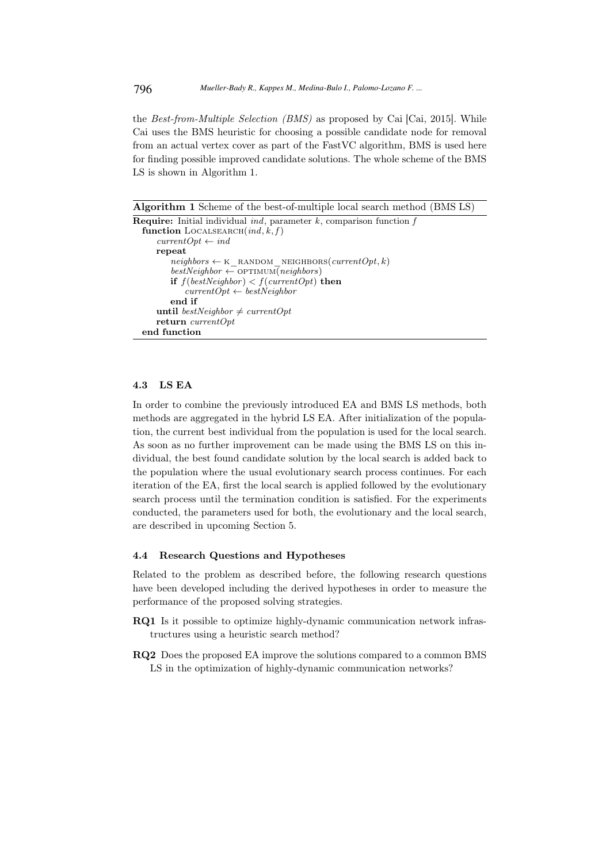the Best-from-Multiple Selection (BMS) as proposed by Cai [Cai, 2015]. While Cai uses the BMS heuristic for choosing a possible candidate node for removal from an actual vertex cover as part of the FastVC algorithm, BMS is used here for finding possible improved candidate solutions. The whole scheme of the BMS LS is shown in Algorithm 1.

Algorithm 1 Scheme of the best-of-multiple local search method (BMS LS)

```
Require: Initial individual ind, parameter k, comparison function ffunction LOCALSEARCH(id, k, f)currentOpt \leftarrow indrepeat
       neighbors \leftarrow \kappa RANDOM NEIGHBORS(currentOpt, k)
       bestNeighbour \leftarrow OPTIMUM(neighbors)if f(bestNeighbour) < f(currentOpt) then
           currentOpt \leftarrow bestNeighbourend if
    until bestNeighbor \neq currentOptreturn currentOpt
end function
```
### 4.3 LS EA

In order to combine the previously introduced EA and BMS LS methods, both methods are aggregated in the hybrid LS EA. After initialization of the population, the current best individual from the population is used for the local search. As soon as no further improvement can be made using the BMS LS on this individual, the best found candidate solution by the local search is added back to the population where the usual evolutionary search process continues. For each iteration of the EA, first the local search is applied followed by the evolutionary search process until the termination condition is satisfied. For the experiments conducted, the parameters used for both, the evolutionary and the local search, are described in upcoming Section 5.

#### 4.4 Research Questions and Hypotheses

Related to the problem as described before, the following research questions have been developed including the derived hypotheses in order to measure the performance of the proposed solving strategies.

- RQ1 Is it possible to optimize highly-dynamic communication network infrastructures using a heuristic search method?
- RQ2 Does the proposed EA improve the solutions compared to a common BMS LS in the optimization of highly-dynamic communication networks?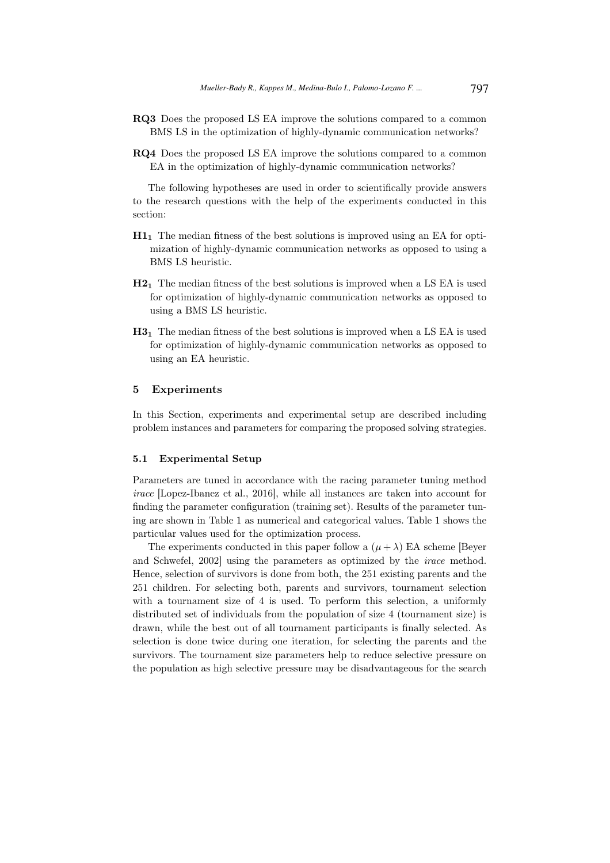- RQ3 Does the proposed LS EA improve the solutions compared to a common BMS LS in the optimization of highly-dynamic communication networks?
- RQ4 Does the proposed LS EA improve the solutions compared to a common EA in the optimization of highly-dynamic communication networks?

The following hypotheses are used in order to scientifically provide answers to the research questions with the help of the experiments conducted in this section:

- H1<sup>1</sup> The median fitness of the best solutions is improved using an EA for optimization of highly-dynamic communication networks as opposed to using a BMS LS heuristic.
- H2<sup>1</sup> The median fitness of the best solutions is improved when a LS EA is used for optimization of highly-dynamic communication networks as opposed to using a BMS LS heuristic.
- H3<sup>1</sup> The median fitness of the best solutions is improved when a LS EA is used for optimization of highly-dynamic communication networks as opposed to using an EA heuristic.

#### 5 Experiments

In this Section, experiments and experimental setup are described including problem instances and parameters for comparing the proposed solving strategies.

#### 5.1 Experimental Setup

Parameters are tuned in accordance with the racing parameter tuning method irace [Lopez-Ibanez et al., 2016], while all instances are taken into account for finding the parameter configuration (training set). Results of the parameter tuning are shown in Table 1 as numerical and categorical values. Table 1 shows the particular values used for the optimization process.

The experiments conducted in this paper follow a  $(\mu + \lambda)$  EA scheme [Beyer] and Schwefel, 2002] using the parameters as optimized by the irace method. Hence, selection of survivors is done from both, the 251 existing parents and the 251 children. For selecting both, parents and survivors, tournament selection with a tournament size of 4 is used. To perform this selection, a uniformly distributed set of individuals from the population of size 4 (tournament size) is drawn, while the best out of all tournament participants is finally selected. As selection is done twice during one iteration, for selecting the parents and the survivors. The tournament size parameters help to reduce selective pressure on the population as high selective pressure may be disadvantageous for the search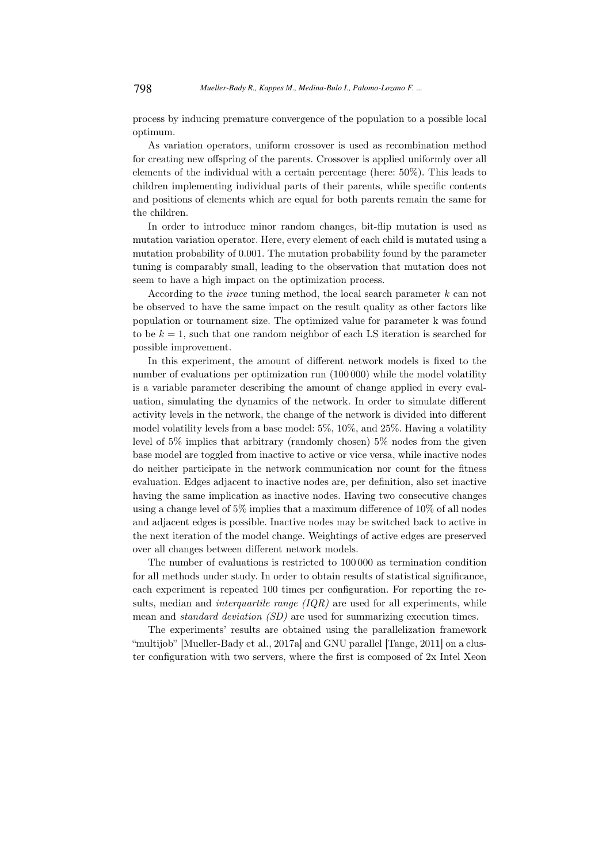process by inducing premature convergence of the population to a possible local optimum.

As variation operators, uniform crossover is used as recombination method for creating new offspring of the parents. Crossover is applied uniformly over all elements of the individual with a certain percentage (here: 50%). This leads to children implementing individual parts of their parents, while specific contents and positions of elements which are equal for both parents remain the same for the children.

In order to introduce minor random changes, bit-flip mutation is used as mutation variation operator. Here, every element of each child is mutated using a mutation probability of 0.001. The mutation probability found by the parameter tuning is comparably small, leading to the observation that mutation does not seem to have a high impact on the optimization process.

According to the *irace* tuning method, the local search parameter  $k$  can not be observed to have the same impact on the result quality as other factors like population or tournament size. The optimized value for parameter k was found to be  $k = 1$ , such that one random neighbor of each LS iteration is searched for possible improvement.

In this experiment, the amount of different network models is fixed to the number of evaluations per optimization run (100 000) while the model volatility is a variable parameter describing the amount of change applied in every evaluation, simulating the dynamics of the network. In order to simulate different activity levels in the network, the change of the network is divided into different model volatility levels from a base model: 5%, 10%, and 25%. Having a volatility level of 5% implies that arbitrary (randomly chosen) 5% nodes from the given base model are toggled from inactive to active or vice versa, while inactive nodes do neither participate in the network communication nor count for the fitness evaluation. Edges adjacent to inactive nodes are, per definition, also set inactive having the same implication as inactive nodes. Having two consecutive changes using a change level of 5% implies that a maximum difference of 10% of all nodes and adjacent edges is possible. Inactive nodes may be switched back to active in the next iteration of the model change. Weightings of active edges are preserved over all changes between different network models.

The number of evaluations is restricted to 100 000 as termination condition for all methods under study. In order to obtain results of statistical significance, each experiment is repeated 100 times per configuration. For reporting the results, median and *interquartile range*  $(IQR)$  are used for all experiments, while mean and *standard deviation (SD)* are used for summarizing execution times.

The experiments' results are obtained using the parallelization framework "multijob" [Mueller-Bady et al., 2017a] and GNU parallel [Tange, 2011] on a cluster configuration with two servers, where the first is composed of 2x Intel Xeon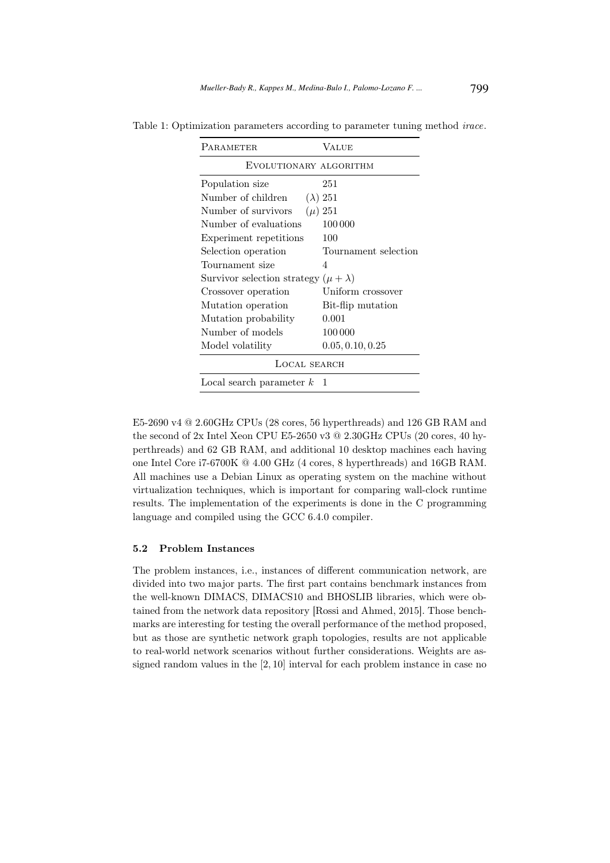| PARAMETER                                     | VALUE                |
|-----------------------------------------------|----------------------|
| EVOLUTIONARY ALGORITHM                        |                      |
| Population size                               | 251                  |
| Number of children                            | $(\lambda)$ 251      |
| Number of survivors                           | $(\mu) 251$          |
| Number of evaluations                         | 100 000              |
| Experiment repetitions                        | 100                  |
| Selection operation                           | Tournament selection |
| Tournament size                               | 4                    |
| Survivor selection strategy $(\mu + \lambda)$ |                      |
| Crossover operation                           | Uniform crossover    |
| Mutation operation                            | Bit-flip mutation    |
| Mutation probability                          | 0.001                |
| Number of models                              | 100 000              |
| Model volatility                              | 0.05, 0.10, 0.25     |
| LOCAL SEARCH                                  |                      |
| Local search parameter $k$                    | 1                    |

Table 1: Optimization parameters according to parameter tuning method irace.

E5-2690 v4 @ 2.60GHz CPUs (28 cores, 56 hyperthreads) and 126 GB RAM and the second of 2x Intel Xeon CPU E5-2650 v3 @ 2.30GHz CPUs (20 cores, 40 hyperthreads) and 62 GB RAM, and additional 10 desktop machines each having one Intel Core i7-6700K @ 4.00 GHz (4 cores, 8 hyperthreads) and 16GB RAM. All machines use a Debian Linux as operating system on the machine without virtualization techniques, which is important for comparing wall-clock runtime results. The implementation of the experiments is done in the C programming language and compiled using the GCC 6.4.0 compiler.

#### 5.2 Problem Instances

The problem instances, i.e., instances of different communication network, are divided into two major parts. The first part contains benchmark instances from the well-known DIMACS, DIMACS10 and BHOSLIB libraries, which were obtained from the network data repository [Rossi and Ahmed, 2015]. Those benchmarks are interesting for testing the overall performance of the method proposed, but as those are synthetic network graph topologies, results are not applicable to real-world network scenarios without further considerations. Weights are assigned random values in the [2, 10] interval for each problem instance in case no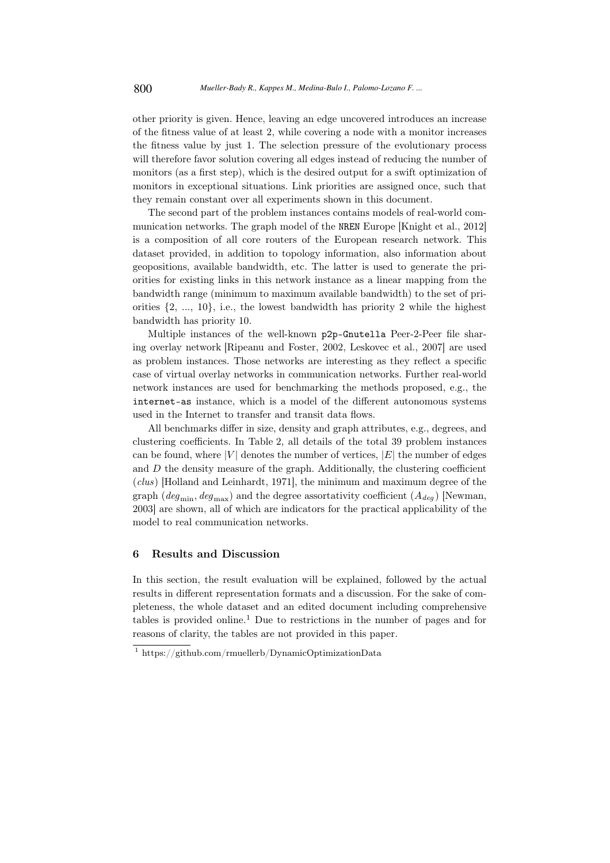other priority is given. Hence, leaving an edge uncovered introduces an increase of the fitness value of at least 2, while covering a node with a monitor increases the fitness value by just 1. The selection pressure of the evolutionary process will therefore favor solution covering all edges instead of reducing the number of monitors (as a first step), which is the desired output for a swift optimization of monitors in exceptional situations. Link priorities are assigned once, such that they remain constant over all experiments shown in this document.

The second part of the problem instances contains models of real-world communication networks. The graph model of the NREN Europe [Knight et al., 2012] is a composition of all core routers of the European research network. This dataset provided, in addition to topology information, also information about geopositions, available bandwidth, etc. The latter is used to generate the priorities for existing links in this network instance as a linear mapping from the bandwidth range (minimum to maximum available bandwidth) to the set of priorities  $\{2, ..., 10\}$ , i.e., the lowest bandwidth has priority 2 while the highest bandwidth has priority 10.

Multiple instances of the well-known p2p-Gnutella Peer-2-Peer file sharing overlay network [Ripeanu and Foster, 2002, Leskovec et al., 2007] are used as problem instances. Those networks are interesting as they reflect a specific case of virtual overlay networks in communication networks. Further real-world network instances are used for benchmarking the methods proposed, e.g., the internet-as instance, which is a model of the different autonomous systems used in the Internet to transfer and transit data flows.

All benchmarks differ in size, density and graph attributes, e.g., degrees, and clustering coefficients. In Table 2, all details of the total 39 problem instances can be found, where  $|V|$  denotes the number of vertices,  $|E|$  the number of edges and  $D$  the density measure of the graph. Additionally, the clustering coefficient (clus) [Holland and Leinhardt, 1971], the minimum and maximum degree of the graph ( $deg_{min}$ ,  $deg_{max}$ ) and the degree assortativity coefficient ( $A_{deg}$ ) [Newman, 2003] are shown, all of which are indicators for the practical applicability of the model to real communication networks.

### 6 Results and Discussion

In this section, the result evaluation will be explained, followed by the actual results in different representation formats and a discussion. For the sake of completeness, the whole dataset and an edited document including comprehensive tables is provided online.<sup>1</sup> Due to restrictions in the number of pages and for reasons of clarity, the tables are not provided in this paper.

<sup>1</sup> https://github.com/rmuellerb/DynamicOptimizationData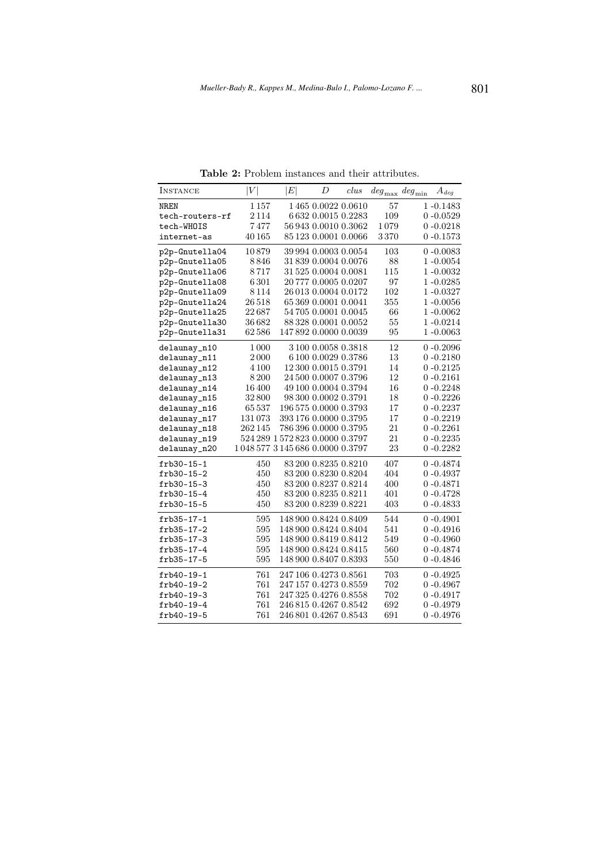| INSTANCE        | $\left V\right $ | $\left E\right $                | $\boldsymbol{D}$     | clus | $deg_{\max}$ deg <sub>min</sub> | $A_{deq}$    |
|-----------------|------------------|---------------------------------|----------------------|------|---------------------------------|--------------|
| NREN            | 1157             |                                 | 1465 0.0022 0.0610   |      | 57                              | $1 - 0.1483$ |
| tech-routers-rf | 2114             |                                 | 6632 0.0015 0.2283   |      | 109                             | $0 - 0.0529$ |
| tech-WHOIS      | 7477             |                                 | 569430.00100.3062    |      | 1079                            | $0 - 0.0218$ |
| internet-as     | 40 165           |                                 | 85 123 0.0001 0.0066 |      | 3370                            | $0 - 0.1573$ |
| p2p-Gnutella04  | 10879            |                                 | 39 994 0.0003 0.0054 |      | 103                             | $0 - 0.0083$ |
| p2p-Gnutella05  | 8846             |                                 | 31 839 0.0004 0.0076 |      | 88                              | $1 - 0.0054$ |
| p2p-Gnutella06  | 8717             |                                 | 31 525 0.0004 0.0081 |      | 115                             | 1-0.0032     |
| p2p-Gnutella08  | 6301             |                                 | 20777 0.0005 0.0207  |      | 97                              | $1 - 0.0285$ |
| p2p-Gnutella09  | 8114             |                                 | 26 013 0.0004 0.0172 |      | 102                             | 1-0.0327     |
| p2p-Gnutella24  | 26518            |                                 | 65 369 0.0001 0.0041 |      | 355                             | $1 - 0.0056$ |
| p2p-Gnutella25  | $22\,687$        |                                 | 54 705 0.0001 0.0045 |      | 66                              | 1 -0.0062    |
| p2p-Gnutella30  | 36682            |                                 | 88 328 0.0001 0.0052 |      | 55                              | 1-0.0214     |
| p2p-Gnutella31  | 62586            | 147892 0.0000 0.0039            |                      |      | 95                              | $1 - 0.0063$ |
| delaunay_n10    | 1000             |                                 | 3100 0.0058 0.3818   |      | 12                              | $0 - 0.2096$ |
| delaunay_n11    | 2000             |                                 | 6 100 0.0029 0.3786  |      | 13                              | $0 - 0.2180$ |
| delaunay_n12    | 4 1 0 0          |                                 | 12 300 0.0015 0.3791 |      | 14                              | $0 - 0.2125$ |
| delaunay_n13    | 8200             |                                 | 24 500 0.0007 0.3796 |      | 12                              | $0 - 0.2161$ |
| delaunay_n14    | 16400            |                                 | 49 100 0.0004 0.3794 |      | 16                              | $0 - 0.2248$ |
| delaunay_n15    | 32800            |                                 | 98 300 0.0002 0.3791 |      | 18                              | $0 - 0.2226$ |
| delaunay_n16    | 65537            | 196 575 0.0000 0.3793           |                      |      | 17                              | $0 - 0.2237$ |
| delaunay_n17    | 131073           | 393 176 0.0000 0.3795           |                      |      | 17                              | $0 - 0.2219$ |
| delaunay_n18    | 262 145          | 786 396 0.0000 0.3795           |                      |      | 21                              | $0 - 0.2261$ |
| delaunay_n19    |                  | 524 289 1 572 823 0.0000 0.3797 |                      |      | 21                              | $0 - 0.2235$ |
| delaunay_n20    |                  | 1048 577 3145 686 0.0000 0.3797 |                      |      | 23                              | $0 - 0.2282$ |
| $frb30-15-1$    | 450              |                                 | 83 200 0.8235 0.8210 |      | 407                             | $0 - 0.4874$ |
| frb30-15-2      | 450              |                                 | 83 200 0.8230 0.8204 |      | 404                             | $0 - 0.4937$ |
| $frb30-15-3$    | 450              |                                 | 83 200 0.8237 0.8214 |      | 400                             | $0 - 0.4871$ |
| frb30-15-4      | 450              |                                 | 83 200 0.8235 0.8211 |      | 401                             | $0 - 0.4728$ |
| frb30-15-5      | 450              |                                 | 83 200 0.8239 0.8221 |      | 403                             | $0 - 0.4833$ |
| frb35-17-1      | 595              | 148 900 0.8424 0.8409           |                      |      | 544                             | $0 - 0.4901$ |
| $frb35-17-2$    | 595              | 148 900 0.8424 0.8404           |                      |      | 541                             | $0 - 0.4916$ |
| $frb35-17-3$    | 595              | 148 900 0.8419 0.8412           |                      |      | 549                             | $0 - 0.4960$ |
| frb35-17-4      | 595              | 148 900 0.8424 0.8415           |                      |      | 560                             | $0 - 0.4874$ |
| frb35-17-5      | 595              | 148 900 0.8407 0.8393           |                      |      | 550                             | $0 - 0.4846$ |
| frb40-19-1      | 761              | 247 106 0.4273 0.8561           |                      |      | 703                             | $0 - 0.4925$ |
| frb40-19-2      | 761              | 247 157 0.4273 0.8559           |                      |      | 702                             | $0 - 0.4967$ |
| $frb40-19-3$    | 761              | 247 325 0.4276 0.8558           |                      |      | 702                             | $0 - 0.4917$ |
| frb40-19-4      | 761              | 246 815 0.4267 0.8542           |                      |      | 692                             | 0 -0.4979    |
| frb40-19-5      | 761              | 246 801 0.4267 0.8543           |                      |      | 691                             | $0 - 0.4976$ |

Table 2: Problem instances and their attributes.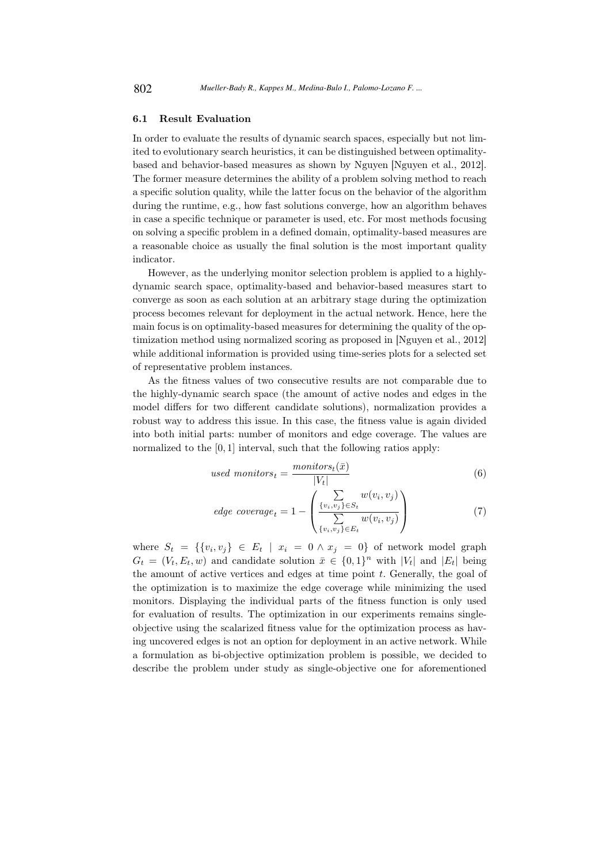#### 6.1 Result Evaluation

In order to evaluate the results of dynamic search spaces, especially but not limited to evolutionary search heuristics, it can be distinguished between optimalitybased and behavior-based measures as shown by Nguyen [Nguyen et al., 2012]. The former measure determines the ability of a problem solving method to reach a specific solution quality, while the latter focus on the behavior of the algorithm during the runtime, e.g., how fast solutions converge, how an algorithm behaves in case a specific technique or parameter is used, etc. For most methods focusing on solving a specific problem in a defined domain, optimality-based measures are a reasonable choice as usually the final solution is the most important quality indicator.

However, as the underlying monitor selection problem is applied to a highlydynamic search space, optimality-based and behavior-based measures start to converge as soon as each solution at an arbitrary stage during the optimization process becomes relevant for deployment in the actual network. Hence, here the main focus is on optimality-based measures for determining the quality of the optimization method using normalized scoring as proposed in [Nguyen et al., 2012] while additional information is provided using time-series plots for a selected set of representative problem instances.

As the fitness values of two consecutive results are not comparable due to the highly-dynamic search space (the amount of active nodes and edges in the model differs for two different candidate solutions), normalization provides a robust way to address this issue. In this case, the fitness value is again divided into both initial parts: number of monitors and edge coverage. The values are normalized to the [0, 1] interval, such that the following ratios apply:

used monitors<sub>t</sub> = 
$$
\frac{monitors_t(\bar{x})}{|V_t|}
$$
(6)

edge coverage<sub>t</sub> = 1 - 
$$
\left( \frac{\sum_{\{v_i, v_j\} \in S_t} w(v_i, v_j)}{\sum_{\{v_i, v_j\} \in E_t} w(v_i, v_j)} \right)
$$
 (7)

where  $S_t = \{ \{v_i, v_j\} \in E_t \mid x_i = 0 \land x_j = 0 \}$  of network model graph  $G_t = (V_t, E_t, w)$  and candidate solution  $\bar{x} \in \{0, 1\}^n$  with  $|V_t|$  and  $|E_t|$  being the amount of active vertices and edges at time point  $t$ . Generally, the goal of the optimization is to maximize the edge coverage while minimizing the used monitors. Displaying the individual parts of the fitness function is only used for evaluation of results. The optimization in our experiments remains singleobjective using the scalarized fitness value for the optimization process as having uncovered edges is not an option for deployment in an active network. While a formulation as bi-objective optimization problem is possible, we decided to describe the problem under study as single-objective one for aforementioned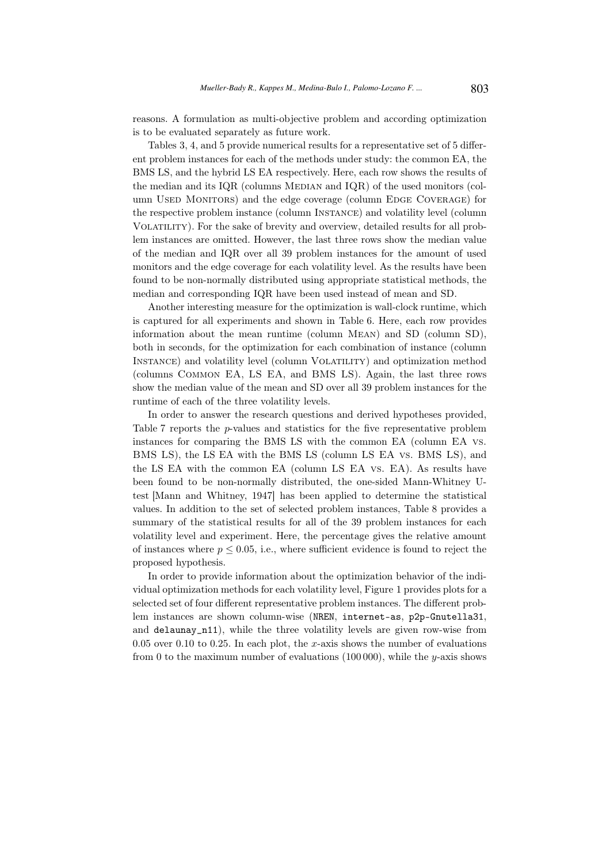reasons. A formulation as multi-objective problem and according optimization is to be evaluated separately as future work.

Tables 3, 4, and 5 provide numerical results for a representative set of 5 different problem instances for each of the methods under study: the common EA, the BMS LS, and the hybrid LS EA respectively. Here, each row shows the results of the median and its  $IQR$  (columns MEDIAN and  $IQR$ ) of the used monitors (column USED MONITORS) and the edge coverage (column EDGE COVERAGE) for the respective problem instance (column Instance) and volatility level (column Volatility). For the sake of brevity and overview, detailed results for all problem instances are omitted. However, the last three rows show the median value of the median and IQR over all 39 problem instances for the amount of used monitors and the edge coverage for each volatility level. As the results have been found to be non-normally distributed using appropriate statistical methods, the median and corresponding IQR have been used instead of mean and SD.

Another interesting measure for the optimization is wall-clock runtime, which is captured for all experiments and shown in Table 6. Here, each row provides information about the mean runtime (column Mean) and SD (column SD), both in seconds, for the optimization for each combination of instance (column Instance) and volatility level (column Volatility) and optimization method (columns Common EA, LS EA, and BMS LS). Again, the last three rows show the median value of the mean and SD over all 39 problem instances for the runtime of each of the three volatility levels.

In order to answer the research questions and derived hypotheses provided, Table 7 reports the p-values and statistics for the five representative problem instances for comparing the BMS LS with the common EA (column EA vs. BMS LS), the LS EA with the BMS LS (column LS EA vs. BMS LS), and the LS EA with the common EA (column LS EA vs. EA). As results have been found to be non-normally distributed, the one-sided Mann-Whitney Utest [Mann and Whitney, 1947] has been applied to determine the statistical values. In addition to the set of selected problem instances, Table 8 provides a summary of the statistical results for all of the 39 problem instances for each volatility level and experiment. Here, the percentage gives the relative amount of instances where  $p \leq 0.05$ , i.e., where sufficient evidence is found to reject the proposed hypothesis.

In order to provide information about the optimization behavior of the individual optimization methods for each volatility level, Figure 1 provides plots for a selected set of four different representative problem instances. The different problem instances are shown column-wise (NREN, internet-as, p2p-Gnutella31, and delaunay\_n11), while the three volatility levels are given row-wise from  $0.05$  over  $0.10$  to  $0.25$ . In each plot, the x-axis shows the number of evaluations from 0 to the maximum number of evaluations  $(100000)$ , while the y-axis shows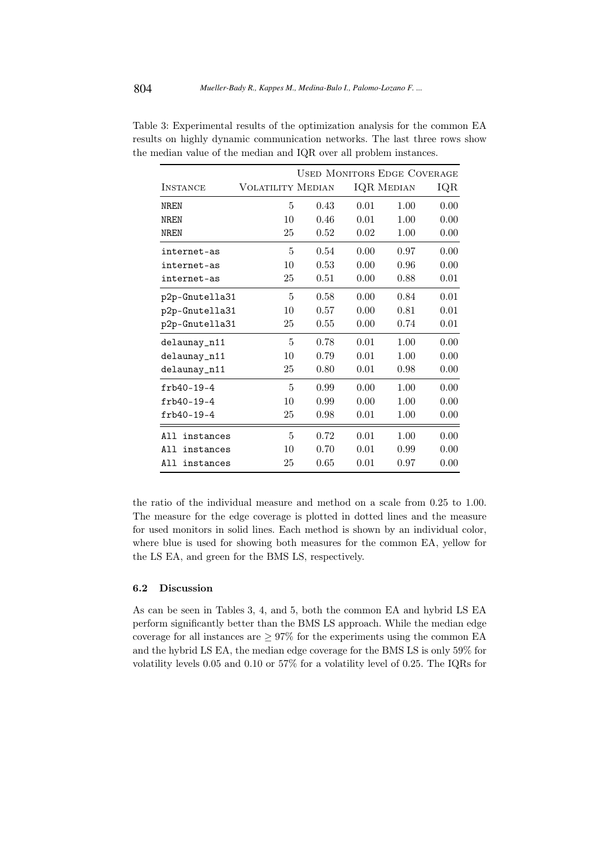|                  | <b>USED MONITORS EDGE COVERAGE</b> |      |      |                   |      |
|------------------|------------------------------------|------|------|-------------------|------|
| <b>INSTANCE</b>  | <b>VOLATILITY MEDIAN</b>           |      |      | <b>IQR MEDIAN</b> | IQR  |
| NR.F.N           | 5                                  | 0.43 | 0.01 | 1.00              | 0.00 |
| <b>NREN</b>      | 10                                 | 0.46 | 0.01 | 1.00              | 0.00 |
| <b>NREN</b>      | 25                                 | 0.52 | 0.02 | 1.00              | 0.00 |
| internet-as      | 5                                  | 0.54 | 0.00 | 0.97              | 0.00 |
| internet-as      | 10                                 | 0.53 | 0.00 | 0.96              | 0.00 |
| internet-as      | 25                                 | 0.51 | 0.00 | 0.88              | 0.01 |
| p2p-Gnutella31   | 5                                  | 0.58 | 0.00 | 0.84              | 0.01 |
| p2p-Gnutella31   | 10                                 | 0.57 | 0.00 | 0.81              | 0.01 |
| p2p-Gnutella31   | 25                                 | 0.55 | 0.00 | 0.74              | 0.01 |
| delaunay_n11     | 5                                  | 0.78 | 0.01 | 1.00              | 0.00 |
| delaunay_n11     | 10                                 | 0.79 | 0.01 | 1.00              | 0.00 |
| delaunay_n11     | 25                                 | 0.80 | 0.01 | 0.98              | 0.00 |
| $frb40-19-4$     | 5                                  | 0.99 | 0.00 | 1.00              | 0.00 |
| $frb40-19-4$     | 10                                 | 0.99 | 0.00 | 1.00              | 0.00 |
| $frb40-19-4$     | 25                                 | 0.98 | 0.01 | 1.00              | 0.00 |
| All<br>instances | 5                                  | 0.72 | 0.01 | 1.00              | 0.00 |
| All<br>instances | 10                                 | 0.70 | 0.01 | 0.99              | 0.00 |
| All<br>instances | 25                                 | 0.65 | 0.01 | 0.97              | 0.00 |

Table 3: Experimental results of the optimization analysis for the common EA results on highly dynamic communication networks. The last three rows show the median value of the median and IQR over all problem instances.

the ratio of the individual measure and method on a scale from 0.25 to 1.00. The measure for the edge coverage is plotted in dotted lines and the measure for used monitors in solid lines. Each method is shown by an individual color, where blue is used for showing both measures for the common EA, yellow for the LS EA, and green for the BMS LS, respectively.

### 6.2 Discussion

As can be seen in Tables 3, 4, and 5, both the common EA and hybrid LS EA perform significantly better than the BMS LS approach. While the median edge coverage for all instances are  $\geq 97\%$  for the experiments using the common EA and the hybrid LS EA, the median edge coverage for the BMS LS is only 59% for volatility levels 0.05 and 0.10 or 57% for a volatility level of 0.25. The IQRs for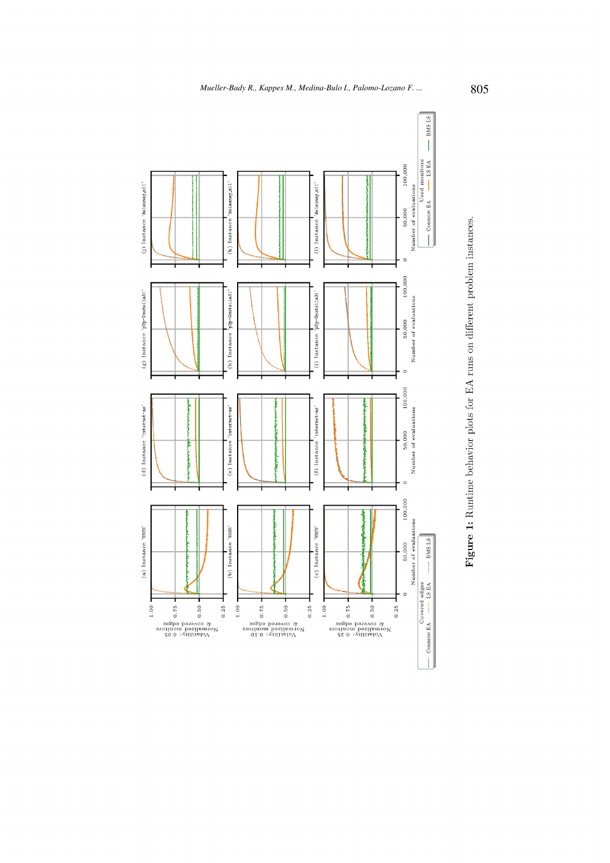

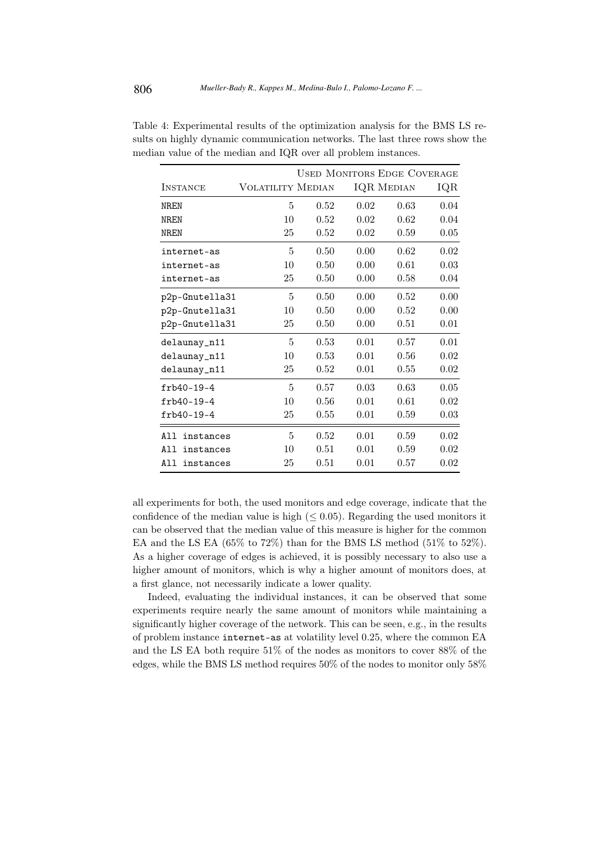|                  | <b>USED MONITORS EDGE COVERAGE</b> |      |      |                   |      |  |
|------------------|------------------------------------|------|------|-------------------|------|--|
| <b>INSTANCE</b>  | <b>VOLATILITY MEDIAN</b>           |      |      | <b>IQR MEDIAN</b> | IQR  |  |
| NR.F.N           | 5                                  | 0.52 | 0.02 | 0.63              | 0.04 |  |
| NR.F.N           | 10                                 | 0.52 | 0.02 | 0.62              | 0.04 |  |
| <b>NREN</b>      | 25                                 | 0.52 | 0.02 | 0.59              | 0.05 |  |
| internet-as      | 5                                  | 0.50 | 0.00 | 0.62              | 0.02 |  |
| internet-as      | 10                                 | 0.50 | 0.00 | 0.61              | 0.03 |  |
| internet-as      | 25                                 | 0.50 | 0.00 | 0.58              | 0.04 |  |
| p2p-Gnutella31   | 5                                  | 0.50 | 0.00 | 0.52              | 0.00 |  |
| p2p-Gnutella31   | 10                                 | 0.50 | 0.00 | 0.52              | 0.00 |  |
| p2p-Gnutella31   | 25                                 | 0.50 | 0.00 | 0.51              | 0.01 |  |
| delaunay_n11     | 5                                  | 0.53 | 0.01 | 0.57              | 0.01 |  |
| delaunay_n11     | 10                                 | 0.53 | 0.01 | 0.56              | 0.02 |  |
| delaunay_n11     | 25                                 | 0.52 | 0.01 | 0.55              | 0.02 |  |
| $frb40-19-4$     | 5                                  | 0.57 | 0.03 | 0.63              | 0.05 |  |
| $frb40-19-4$     | 10                                 | 0.56 | 0.01 | 0.61              | 0.02 |  |
| $frb40-19-4$     | 25                                 | 0.55 | 0.01 | 0.59              | 0.03 |  |
| All<br>instances | 5                                  | 0.52 | 0.01 | 0.59              | 0.02 |  |
| All<br>instances | 10                                 | 0.51 | 0.01 | 0.59              | 0.02 |  |
| instances<br>AII | 25                                 | 0.51 | 0.01 | 0.57              | 0.02 |  |

Table 4: Experimental results of the optimization analysis for the BMS LS results on highly dynamic communication networks. The last three rows show the median value of the median and IQR over all problem instances.

all experiments for both, the used monitors and edge coverage, indicate that the confidence of the median value is high  $(\leq 0.05)$ . Regarding the used monitors it can be observed that the median value of this measure is higher for the common EA and the LS EA (65% to 72%) than for the BMS LS method (51% to 52%). As a higher coverage of edges is achieved, it is possibly necessary to also use a higher amount of monitors, which is why a higher amount of monitors does, at a first glance, not necessarily indicate a lower quality.

Indeed, evaluating the individual instances, it can be observed that some experiments require nearly the same amount of monitors while maintaining a significantly higher coverage of the network. This can be seen, e.g., in the results of problem instance internet-as at volatility level 0.25, where the common EA and the LS EA both require 51% of the nodes as monitors to cover 88% of the edges, while the BMS LS method requires 50% of the nodes to monitor only 58%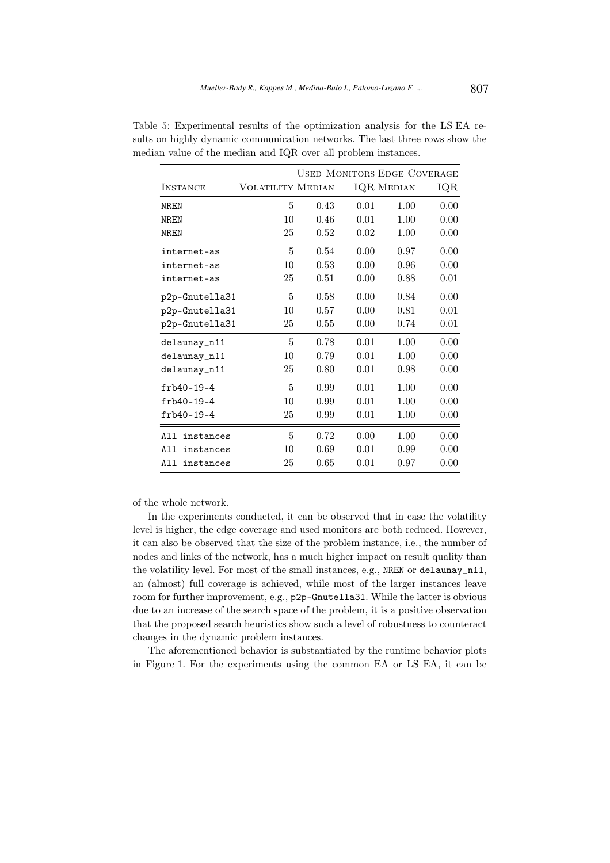|                  |                   |      |      | <b>USED MONITORS EDGE COVERAGE</b> |      |
|------------------|-------------------|------|------|------------------------------------|------|
| <b>INSTANCE</b>  | VOLATILITY MEDIAN |      |      | <b>IQR MEDIAN</b>                  | IQR  |
| <b>NREN</b>      | 5                 | 0.43 | 0.01 | 1.00                               | 0.00 |
| NR.F.N           | 10                | 0.46 | 0.01 | 1.00                               | 0.00 |
| <b>NREN</b>      | 25                | 0.52 | 0.02 | 1.00                               | 0.00 |
| internet-as      | 5                 | 0.54 | 0.00 | 0.97                               | 0.00 |
| internet-as      | 10                | 0.53 | 0.00 | 0.96                               | 0.00 |
| internet-as      | 25                | 0.51 | 0.00 | 0.88                               | 0.01 |
| p2p-Gnutella31   | 5                 | 0.58 | 0.00 | 0.84                               | 0.00 |
| p2p-Gnutella31   | 10                | 0.57 | 0.00 | 0.81                               | 0.01 |
| p2p-Gnutella31   | 25                | 0.55 | 0.00 | 0.74                               | 0.01 |
| delaunay_n11     | 5                 | 0.78 | 0.01 | 1.00                               | 0.00 |
| delaunay_n11     | 10                | 0.79 | 0.01 | 1.00                               | 0.00 |
| delaunay_n11     | 25                | 0.80 | 0.01 | 0.98                               | 0.00 |
| $frb40-19-4$     | 5                 | 0.99 | 0.01 | 1.00                               | 0.00 |
| $frb40-19-4$     | 10                | 0.99 | 0.01 | 1.00                               | 0.00 |
| $frb40-19-4$     | 25                | 0.99 | 0.01 | 1.00                               | 0.00 |
| AJI<br>instances | 5                 | 0.72 | 0.00 | 1.00                               | 0.00 |
| All<br>instances | 10                | 0.69 | 0.01 | 0.99                               | 0.00 |
| instances<br>All | 25                | 0.65 | 0.01 | 0.97                               | 0.00 |

Table 5: Experimental results of the optimization analysis for the LS EA results on highly dynamic communication networks. The last three rows show the median value of the median and IQR over all problem instances.

of the whole network.

In the experiments conducted, it can be observed that in case the volatility level is higher, the edge coverage and used monitors are both reduced. However, it can also be observed that the size of the problem instance, i.e., the number of nodes and links of the network, has a much higher impact on result quality than the volatility level. For most of the small instances, e.g., NREN or delaunay\_n11, an (almost) full coverage is achieved, while most of the larger instances leave room for further improvement, e.g., p2p-Gnutella31. While the latter is obvious due to an increase of the search space of the problem, it is a positive observation that the proposed search heuristics show such a level of robustness to counteract changes in the dynamic problem instances.

The aforementioned behavior is substantiated by the runtime behavior plots in Figure 1. For the experiments using the common EA or LS EA, it can be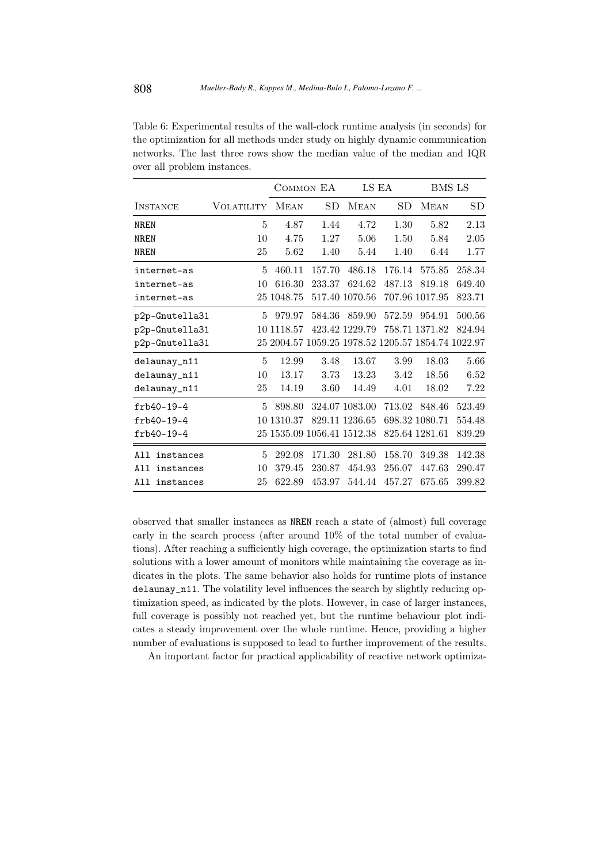Table 6: Experimental results of the wall-clock runtime analysis (in seconds) for the optimization for all methods under study on highly dynamic communication networks. The last three rows show the median value of the median and IQR over all problem instances.

|                  |            | COMMON EA   |                            |                | LS EA                                              |                | BMS LS |
|------------------|------------|-------------|----------------------------|----------------|----------------------------------------------------|----------------|--------|
| <b>INSTANCE</b>  | VOLATILITY | <b>MEAN</b> | <b>SD</b>                  | <b>MEAN</b>    | SD                                                 | <b>MEAN</b>    | SD     |
| <b>NREN</b>      | 5          | 4.87        | 1.44                       | 4.72           | 1.30                                               | 5.82           | 2.13   |
| <b>NREN</b>      | 10         | 4.75        | 1.27                       | 5.06           | 1.50                                               | 5.84           | 2.05   |
| <b>NREN</b>      | 25         | 5.62        | 1.40                       | 5.44           | 1.40                                               | 6.44           | 1.77   |
| internet-as      | 5          | 460.11      | 157.70                     | 486.18         | 176.14                                             | 575.85         | 258.34 |
| internet-as      | 10         | 616.30      | 233.37                     | 624.62         | 487.13                                             | 819.18         | 649.40 |
| internet-as      |            | 25 1048.75  |                            | 517.40 1070.56 |                                                    | 707.96 1017.95 | 823.71 |
| p2p-Gnutella31   | 5          | 979.97      | 584.36                     | 859.90         | 572.59                                             | 954.91         | 500.56 |
| p2p-Gnutella31   |            | 10 1118.57  |                            | 423.42 1229.79 |                                                    | 758.71 1371.82 | 824.94 |
| p2p-Gnutella31   |            |             |                            |                | 25 2004.57 1059.25 1978.52 1205.57 1854.74 1022.97 |                |        |
| delaunay_n11     | 5          | 12.99       | 3.48                       | 13.67          | 3.99                                               | 18.03          | 5.66   |
| delaunay_n11     | 10         | 13.17       | 3.73                       | 13.23          | 3.42                                               | 18.56          | 6.52   |
| delaunay_n11     | 25         | 14.19       | 3.60                       | 14.49          | 4.01                                               | 18.02          | 7.22   |
| $frb40-19-4$     | 5          | 898.80      |                            | 324.07 1083.00 | 713.02                                             | 848.46         | 523.49 |
| $frb40-19-4$     | 10         | 1310.37     |                            | 829.11 1236.65 |                                                    | 698.32 1080.71 | 554.48 |
| $frb40-19-4$     |            |             | 25 1535.09 1056.41 1512.38 |                |                                                    | 825.64 1281.61 | 839.29 |
| A11<br>instances | 5          | 292.08      | 171.30                     | 281.80         | 158.70                                             | 349.38         | 142.38 |
| All<br>instances | 10         | 379.45      | 230.87                     | 454.93         | 256.07                                             | 447.63         | 290.47 |
| All<br>instances | 25         | 622.89      | 453.97                     | 544.44         | 457.27                                             | 675.65         | 399.82 |

observed that smaller instances as NREN reach a state of (almost) full coverage early in the search process (after around 10% of the total number of evaluations). After reaching a sufficiently high coverage, the optimization starts to find solutions with a lower amount of monitors while maintaining the coverage as indicates in the plots. The same behavior also holds for runtime plots of instance delaunay\_n11. The volatility level influences the search by slightly reducing optimization speed, as indicated by the plots. However, in case of larger instances, full coverage is possibly not reached yet, but the runtime behaviour plot indicates a steady improvement over the whole runtime. Hence, providing a higher number of evaluations is supposed to lead to further improvement of the results.

An important factor for practical applicability of reactive network optimiza-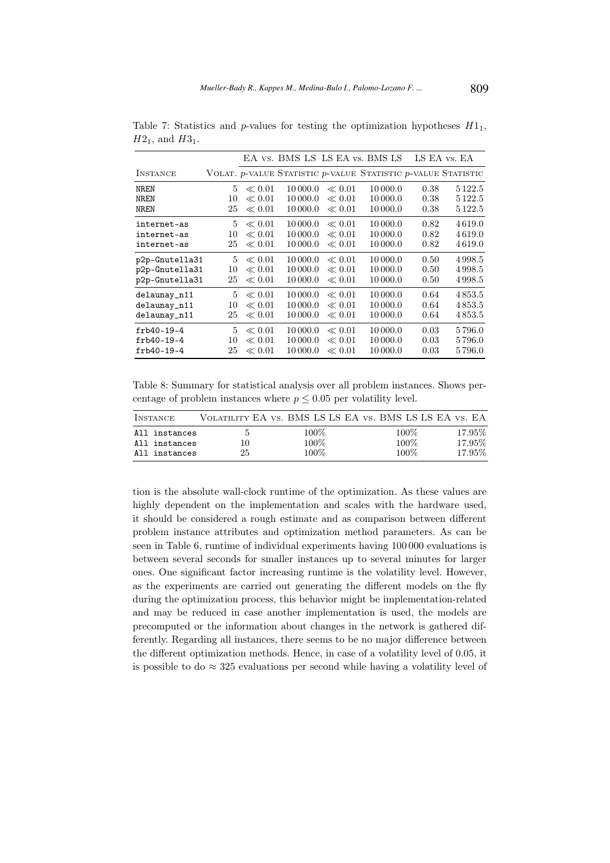|                 |    |            |          |            | EA vs. BMS LS LS EA vs. BMS LS                                        | LS EA vs. EA |           |
|-----------------|----|------------|----------|------------|-----------------------------------------------------------------------|--------------|-----------|
| <b>INSTANCE</b> |    |            |          |            | VOLAT. $p$ -VALUE STATISTIC $p$ -VALUE STATISTIC $p$ -VALUE STATISTIC |              |           |
| NREN            | 5  | $\ll 0.01$ | 10 000.0 | $\ll 0.01$ | 10 000.0                                                              | 0.38         | 5 1 2 2.5 |
| <b>NREN</b>     | 10 | $\ll 0.01$ | 10 000.0 | $\ll 0.01$ | 10 000.0                                                              | 0.38         | 5 1 2 2.5 |
| <b>NREN</b>     | 25 | $\ll 0.01$ | 10 000.0 | $\ll 0.01$ | 10 000.0                                                              | 0.38         | 5 1 2 2.5 |
| internet-as     | 5  | $\ll 0.01$ | 10 000.0 | $\ll 0.01$ | 10 000.0                                                              | 0.82         | 4619.0    |
| internet-as     | 10 | $\ll 0.01$ | 10 000.0 | $\ll 0.01$ | 10 000.0                                                              | 0.82         | 4619.0    |
| internet-as     | 25 | $\ll 0.01$ | 10 000.0 | $\ll 0.01$ | 10 000.0                                                              | 0.82         | 4619.0    |
| p2p-Gnutella31  | 5  | $\ll 0.01$ | 10 000.0 | $\ll 0.01$ | 10 000.0                                                              | 0.50         | 4998.5    |
| p2p-Gnutella31  | 10 | $\ll 0.01$ | 10 000.0 | $\ll 0.01$ | 10 000.0                                                              | 0.50         | 4998.5    |
| p2p-Gnutella31  | 25 | $\ll 0.01$ | 10 000.0 | $\ll 0.01$ | 10 000.0                                                              | 0.50         | 4998.5    |
| delaunay_n11    | 5  | $\ll 0.01$ | 10 000.0 | $\ll 0.01$ | 10 000.0                                                              | 0.64         | 4853.5    |
| delaunay_n11    | 10 | $\ll 0.01$ | 10 000.0 | $\ll 0.01$ | 10 000.0                                                              | 0.64         | 4853.5    |
| delaunay_n11    | 25 | $\ll 0.01$ | 10 000.0 | $\ll 0.01$ | 10 000.0                                                              | 0.64         | 4853.5    |
| $frb40-19-4$    | 5  | $\ll 0.01$ | 10 000.0 | $\ll 0.01$ | 10 000.0                                                              | 0.03         | 5796.0    |
| $frb40-19-4$    | 10 | $\ll 0.01$ | 10 000.0 | $\ll 0.01$ | 10 000.0                                                              | 0.03         | 5796.0    |
| $frb40-19-4$    | 25 | $\ll 0.01$ | 10 000.0 | $\ll 0.01$ | 10 000.0                                                              | 0.03         | 5796.0    |

Table 7: Statistics and p-values for testing the optimization hypotheses  $H_1$ ,  $H2_1$ , and  $H3_1$ .

Table 8: Summary for statistical analysis over all problem instances. Shows percentage of problem instances where  $p \leq 0.05$  per volatility level.

| <b>INSTANCE</b> |    | VOLATILITY EA VS. BMS LS LS EA VS. BMS LS LS EA VS. EA |         |         |
|-----------------|----|--------------------------------------------------------|---------|---------|
| All instances   | Ð  | 100%                                                   | $100\%$ | 17.95\% |
| All instances   | 10 | 100%                                                   | 100%    | 17.95%  |
| All instances   | 25 | 100\%                                                  | 100\%   | 17.95%  |

tion is the absolute wall-clock runtime of the optimization. As these values are highly dependent on the implementation and scales with the hardware used, it should be considered a rough estimate and as comparison between different problem instance attributes and optimization method parameters. As can be seen in Table 6, runtime of individual experiments having 100 000 evaluations is between several seconds for smaller instances up to several minutes for larger ones. One significant factor increasing runtime is the volatility level. However, as the experiments are carried out generating the different models on the fly during the optimization process, this behavior might be implementation-related and may be reduced in case another implementation is used, the models are precomputed or the information about changes in the network is gathered differently. Regarding all instances, there seems to be no major difference between the different optimization methods. Hence, in case of a volatility level of 0.05, it is possible to do  $\approx 325$  evaluations per second while having a volatility level of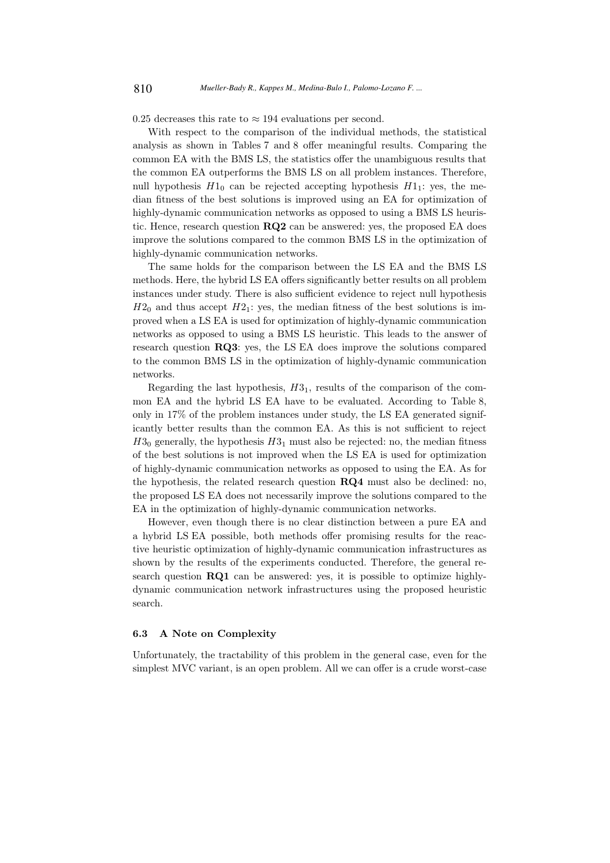0.25 decreases this rate to  $\approx$  194 evaluations per second.

With respect to the comparison of the individual methods, the statistical analysis as shown in Tables 7 and 8 offer meaningful results. Comparing the common EA with the BMS LS, the statistics offer the unambiguous results that the common EA outperforms the BMS LS on all problem instances. Therefore, null hypothesis  $H1_0$  can be rejected accepting hypothesis  $H1_1$ : yes, the median fitness of the best solutions is improved using an EA for optimization of highly-dynamic communication networks as opposed to using a BMS LS heuristic. Hence, research question  $RQ2$  can be answered: yes, the proposed EA does improve the solutions compared to the common BMS LS in the optimization of highly-dynamic communication networks.

The same holds for the comparison between the LS EA and the BMS LS methods. Here, the hybrid LS EA offers significantly better results on all problem instances under study. There is also sufficient evidence to reject null hypothesis  $H2_0$  and thus accept  $H2_1$ : yes, the median fitness of the best solutions is improved when a LS EA is used for optimization of highly-dynamic communication networks as opposed to using a BMS LS heuristic. This leads to the answer of research question RQ3: yes, the LS EA does improve the solutions compared to the common BMS LS in the optimization of highly-dynamic communication networks.

Regarding the last hypothesis,  $H3<sub>1</sub>$ , results of the comparison of the common EA and the hybrid LS EA have to be evaluated. According to Table 8, only in 17% of the problem instances under study, the LS EA generated significantly better results than the common EA. As this is not sufficient to reject  $H3_0$  generally, the hypothesis  $H3_1$  must also be rejected: no, the median fitness of the best solutions is not improved when the LS EA is used for optimization of highly-dynamic communication networks as opposed to using the EA. As for the hypothesis, the related research question RQ4 must also be declined: no, the proposed LS EA does not necessarily improve the solutions compared to the EA in the optimization of highly-dynamic communication networks.

However, even though there is no clear distinction between a pure EA and a hybrid LS EA possible, both methods offer promising results for the reactive heuristic optimization of highly-dynamic communication infrastructures as shown by the results of the experiments conducted. Therefore, the general research question RQ1 can be answered: yes, it is possible to optimize highlydynamic communication network infrastructures using the proposed heuristic search.

#### 6.3 A Note on Complexity

Unfortunately, the tractability of this problem in the general case, even for the simplest MVC variant, is an open problem. All we can offer is a crude worst-case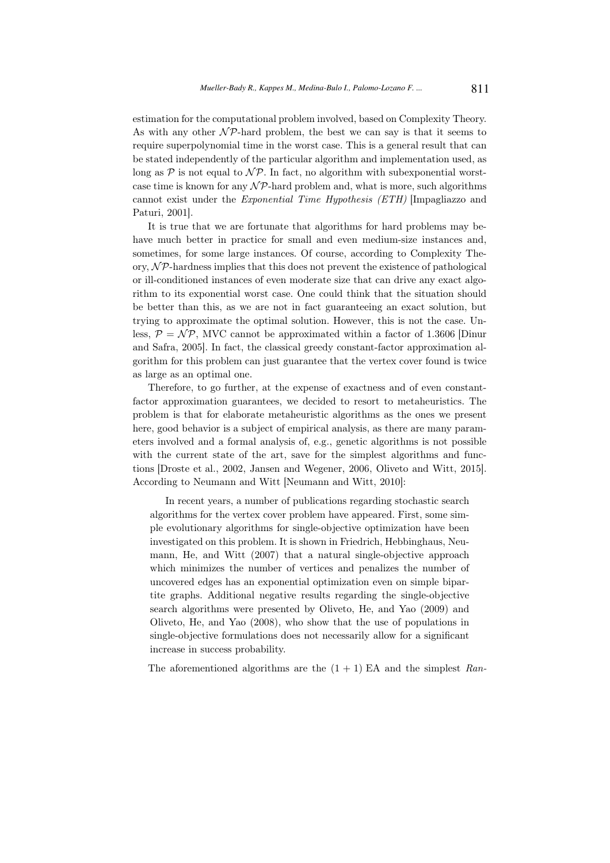estimation for the computational problem involved, based on Complexity Theory. As with any other  $\mathcal{NP}$ -hard problem, the best we can say is that it seems to require superpolynomial time in the worst case. This is a general result that can be stated independently of the particular algorithm and implementation used, as long as  $\mathcal P$  is not equal to  $\mathcal N\mathcal P$ . In fact, no algorithm with subexponential worstcase time is known for any  $N\mathcal{P}$ -hard problem and, what is more, such algorithms cannot exist under the Exponential Time Hypothesis (ETH) [Impagliazzo and Paturi, 2001].

It is true that we are fortunate that algorithms for hard problems may behave much better in practice for small and even medium-size instances and, sometimes, for some large instances. Of course, according to Complexity Theory,  $\mathcal{NP}$ -hardness implies that this does not prevent the existence of pathological or ill-conditioned instances of even moderate size that can drive any exact algorithm to its exponential worst case. One could think that the situation should be better than this, as we are not in fact guaranteeing an exact solution, but trying to approximate the optimal solution. However, this is not the case. Unless,  $P = \mathcal{NP}$ , MVC cannot be approximated within a factor of 1.3606 [Dinur and Safra, 2005]. In fact, the classical greedy constant-factor approximation algorithm for this problem can just guarantee that the vertex cover found is twice as large as an optimal one.

Therefore, to go further, at the expense of exactness and of even constantfactor approximation guarantees, we decided to resort to metaheuristics. The problem is that for elaborate metaheuristic algorithms as the ones we present here, good behavior is a subject of empirical analysis, as there are many parameters involved and a formal analysis of, e.g., genetic algorithms is not possible with the current state of the art, save for the simplest algorithms and functions [Droste et al., 2002, Jansen and Wegener, 2006, Oliveto and Witt, 2015]. According to Neumann and Witt [Neumann and Witt, 2010]:

In recent years, a number of publications regarding stochastic search algorithms for the vertex cover problem have appeared. First, some simple evolutionary algorithms for single-objective optimization have been investigated on this problem. It is shown in Friedrich, Hebbinghaus, Neumann, He, and Witt (2007) that a natural single-objective approach which minimizes the number of vertices and penalizes the number of uncovered edges has an exponential optimization even on simple bipartite graphs. Additional negative results regarding the single-objective search algorithms were presented by Oliveto, He, and Yao (2009) and Oliveto, He, and Yao (2008), who show that the use of populations in single-objective formulations does not necessarily allow for a significant increase in success probability.

The aforementioned algorithms are the  $(1 + 1)$  EA and the simplest Ran-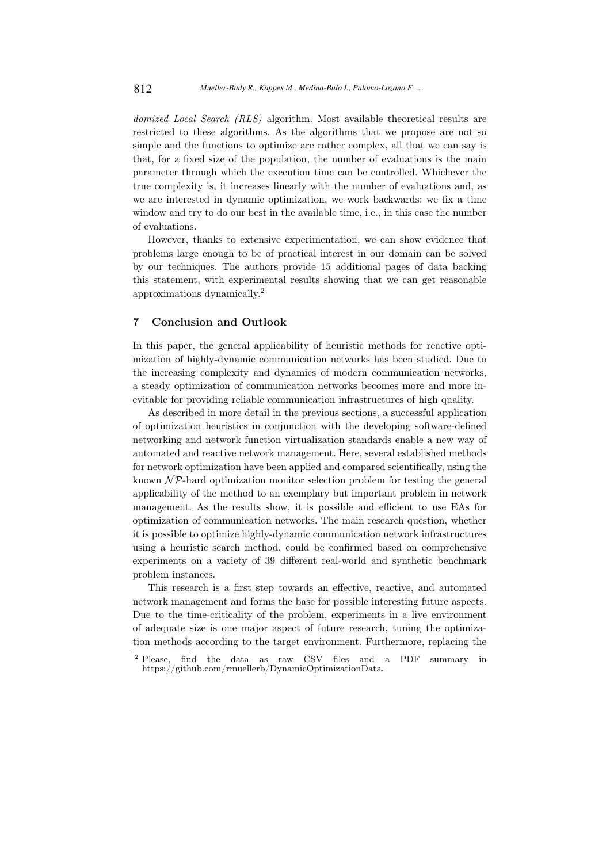domized Local Search (RLS) algorithm. Most available theoretical results are restricted to these algorithms. As the algorithms that we propose are not so simple and the functions to optimize are rather complex, all that we can say is that, for a fixed size of the population, the number of evaluations is the main parameter through which the execution time can be controlled. Whichever the true complexity is, it increases linearly with the number of evaluations and, as we are interested in dynamic optimization, we work backwards: we fix a time window and try to do our best in the available time, i.e., in this case the number of evaluations.

However, thanks to extensive experimentation, we can show evidence that problems large enough to be of practical interest in our domain can be solved by our techniques. The authors provide 15 additional pages of data backing this statement, with experimental results showing that we can get reasonable approximations dynamically.<sup>2</sup>

### 7 Conclusion and Outlook

In this paper, the general applicability of heuristic methods for reactive optimization of highly-dynamic communication networks has been studied. Due to the increasing complexity and dynamics of modern communication networks, a steady optimization of communication networks becomes more and more inevitable for providing reliable communication infrastructures of high quality.

As described in more detail in the previous sections, a successful application of optimization heuristics in conjunction with the developing software-defined networking and network function virtualization standards enable a new way of automated and reactive network management. Here, several established methods for network optimization have been applied and compared scientifically, using the known  $\mathcal{NP}$ -hard optimization monitor selection problem for testing the general applicability of the method to an exemplary but important problem in network management. As the results show, it is possible and efficient to use EAs for optimization of communication networks. The main research question, whether it is possible to optimize highly-dynamic communication network infrastructures using a heuristic search method, could be confirmed based on comprehensive experiments on a variety of 39 different real-world and synthetic benchmark problem instances.

This research is a first step towards an effective, reactive, and automated network management and forms the base for possible interesting future aspects. Due to the time-criticality of the problem, experiments in a live environment of adequate size is one major aspect of future research, tuning the optimization methods according to the target environment. Furthermore, replacing the

<sup>2</sup> Please, find the data as raw CSV files and a PDF summary in https://github.com/rmuellerb/DynamicOptimizationData.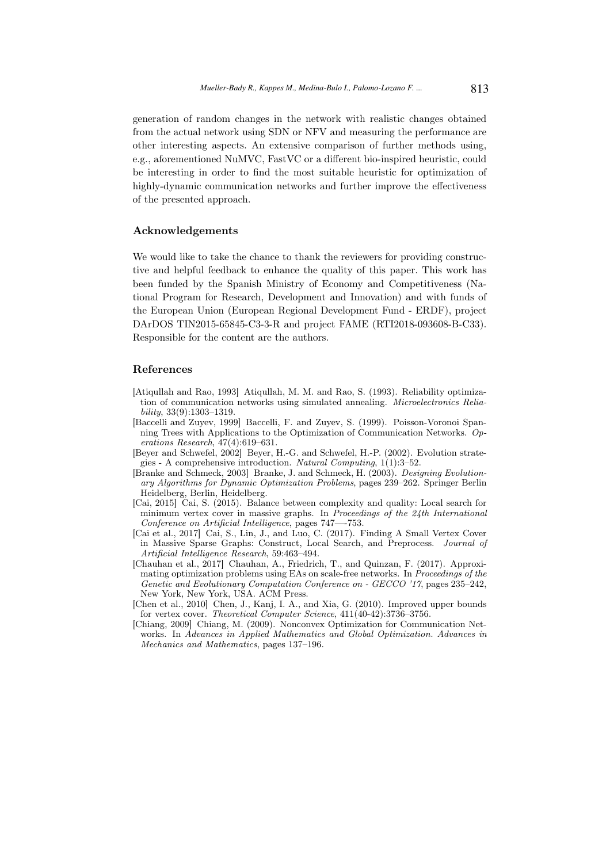generation of random changes in the network with realistic changes obtained from the actual network using SDN or NFV and measuring the performance are other interesting aspects. An extensive comparison of further methods using, e.g., aforementioned NuMVC, FastVC or a different bio-inspired heuristic, could be interesting in order to find the most suitable heuristic for optimization of highly-dynamic communication networks and further improve the effectiveness of the presented approach.

### Acknowledgements

We would like to take the chance to thank the reviewers for providing constructive and helpful feedback to enhance the quality of this paper. This work has been funded by the Spanish Ministry of Economy and Competitiveness (National Program for Research, Development and Innovation) and with funds of the European Union (European Regional Development Fund - ERDF), project DArDOS TIN2015-65845-C3-3-R and project FAME (RTI2018-093608-B-C33). Responsible for the content are the authors.

### References

- [Atiqullah and Rao, 1993] Atiqullah, M. M. and Rao, S. (1993). Reliability optimization of communication networks using simulated annealing. Microelectronics Relia $bili tu$  33(9) $\cdot$ 1303–1319.
- [Baccelli and Zuyev, 1999] Baccelli, F. and Zuyev, S. (1999). Poisson-Voronoi Spanning Trees with Applications to the Optimization of Communication Networks. Operations Research, 47(4):619–631.
- [Beyer and Schwefel, 2002] Beyer, H.-G. and Schwefel, H.-P. (2002). Evolution strategies - A comprehensive introduction. Natural Computing, 1(1):3–52.
- [Branke and Schmeck, 2003] Branke, J. and Schmeck, H. (2003). Designing Evolutionary Algorithms for Dynamic Optimization Problems, pages 239–262. Springer Berlin Heidelberg, Berlin, Heidelberg.
- [Cai, 2015] Cai, S. (2015). Balance between complexity and quality: Local search for minimum vertex cover in massive graphs. In Proceedings of the 24th International Conference on Artificial Intelligence, pages 747—-753.
- [Cai et al., 2017] Cai, S., Lin, J., and Luo, C. (2017). Finding A Small Vertex Cover in Massive Sparse Graphs: Construct, Local Search, and Preprocess. Journal of Artificial Intelligence Research, 59:463–494.
- [Chauhan et al., 2017] Chauhan, A., Friedrich, T., and Quinzan, F. (2017). Approximating optimization problems using EAs on scale-free networks. In Proceedings of the Genetic and Evolutionary Computation Conference on - GECCO '17, pages 235–242, New York, New York, USA. ACM Press.
- [Chen et al., 2010] Chen, J., Kanj, I. A., and Xia, G. (2010). Improved upper bounds for vertex cover. Theoretical Computer Science, 411(40-42):3736–3756.
- [Chiang, 2009] Chiang, M. (2009). Nonconvex Optimization for Communication Networks. In Advances in Applied Mathematics and Global Optimization. Advances in Mechanics and Mathematics, pages 137–196.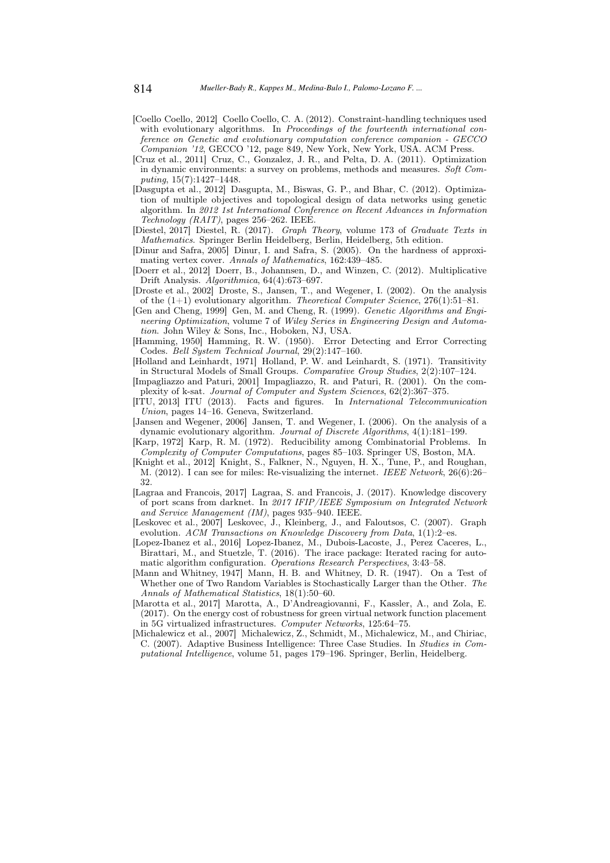- [Coello Coello, 2012] Coello Coello, C. A. (2012). Constraint-handling techniques used with evolutionary algorithms. In Proceedings of the fourteenth international conference on Genetic and evolutionary computation conference companion - GECCO Companion '12, GECCO '12, page 849, New York, New York, USA. ACM Press.
- [Cruz et al., 2011] Cruz, C., Gonzalez, J. R., and Pelta, D. A. (2011). Optimization in dynamic environments: a survey on problems, methods and measures. Soft Computing, 15(7):1427–1448.
- [Dasgupta et al., 2012] Dasgupta, M., Biswas, G. P., and Bhar, C. (2012). Optimization of multiple objectives and topological design of data networks using genetic algorithm. In 2012 1st International Conference on Recent Advances in Information Technology (RAIT), pages 256–262. IEEE.
- [Diestel, 2017] Diestel, R. (2017). Graph Theory, volume 173 of Graduate Texts in Mathematics. Springer Berlin Heidelberg, Berlin, Heidelberg, 5th edition.
- [Dinur and Safra, 2005] Dinur, I. and Safra, S. (2005). On the hardness of approximating vertex cover. Annals of Mathematics, 162:439–485.
- [Doerr et al., 2012] Doerr, B., Johannsen, D., and Winzen, C. (2012). Multiplicative Drift Analysis. Algorithmica, 64(4):673–697.
- [Droste et al., 2002] Droste, S., Jansen, T., and Wegener, I. (2002). On the analysis of the  $(1+1)$  evolutionary algorithm. Theoretical Computer Science, 276(1):51–81.
- [Gen and Cheng, 1999] Gen, M. and Cheng, R. (1999). Genetic Algorithms and Engineering Optimization, volume 7 of Wiley Series in Engineering Design and Automation. John Wiley & Sons, Inc., Hoboken, NJ, USA.
- [Hamming, 1950] Hamming, R. W. (1950). Error Detecting and Error Correcting Codes. Bell System Technical Journal, 29(2):147–160.
- [Holland and Leinhardt, 1971] Holland, P. W. and Leinhardt, S. (1971). Transitivity in Structural Models of Small Groups. Comparative Group Studies, 2(2):107–124.
- [Impagliazzo and Paturi, 2001] Impagliazzo, R. and Paturi, R. (2001). On the complexity of k-sat. Journal of Computer and System Sciences, 62(2):367–375.
- [ITU, 2013] ITU (2013). Facts and figures. In International Telecommunication Union, pages 14–16. Geneva, Switzerland.
- [Jansen and Wegener, 2006] Jansen, T. and Wegener, I. (2006). On the analysis of a dynamic evolutionary algorithm. Journal of Discrete Algorithms, 4(1):181–199.
- [Karp, 1972] Karp, R. M. (1972). Reducibility among Combinatorial Problems. In Complexity of Computer Computations, pages 85–103. Springer US, Boston, MA.
- [Knight et al., 2012] Knight, S., Falkner, N., Nguyen, H. X., Tune, P., and Roughan, M. (2012). I can see for miles: Re-visualizing the internet. IEEE Network, 26(6):26– 32.
- [Lagraa and Francois, 2017] Lagraa, S. and Francois, J. (2017). Knowledge discovery of port scans from darknet. In 2017 IFIP/IEEE Symposium on Integrated Network and Service Management (IM), pages 935–940. IEEE.
- [Leskovec et al., 2007] Leskovec, J., Kleinberg, J., and Faloutsos, C. (2007). Graph evolution. ACM Transactions on Knowledge Discovery from Data, 1(1):2–es.
- [Lopez-Ibanez et al., 2016] Lopez-Ibanez, M., Dubois-Lacoste, J., Perez Caceres, L., Birattari, M., and Stuetzle, T. (2016). The irace package: Iterated racing for automatic algorithm configuration. Operations Research Perspectives, 3:43–58.
- [Mann and Whitney, 1947] Mann, H. B. and Whitney, D. R. (1947). On a Test of Whether one of Two Random Variables is Stochastically Larger than the Other. The Annals of Mathematical Statistics, 18(1):50–60.
- [Marotta et al., 2017] Marotta, A., D'Andreagiovanni, F., Kassler, A., and Zola, E. (2017). On the energy cost of robustness for green virtual network function placement in 5G virtualized infrastructures. Computer Networks, 125:64–75.
- [Michalewicz et al., 2007] Michalewicz, Z., Schmidt, M., Michalewicz, M., and Chiriac, C. (2007). Adaptive Business Intelligence: Three Case Studies. In Studies in Computational Intelligence, volume 51, pages 179–196. Springer, Berlin, Heidelberg.